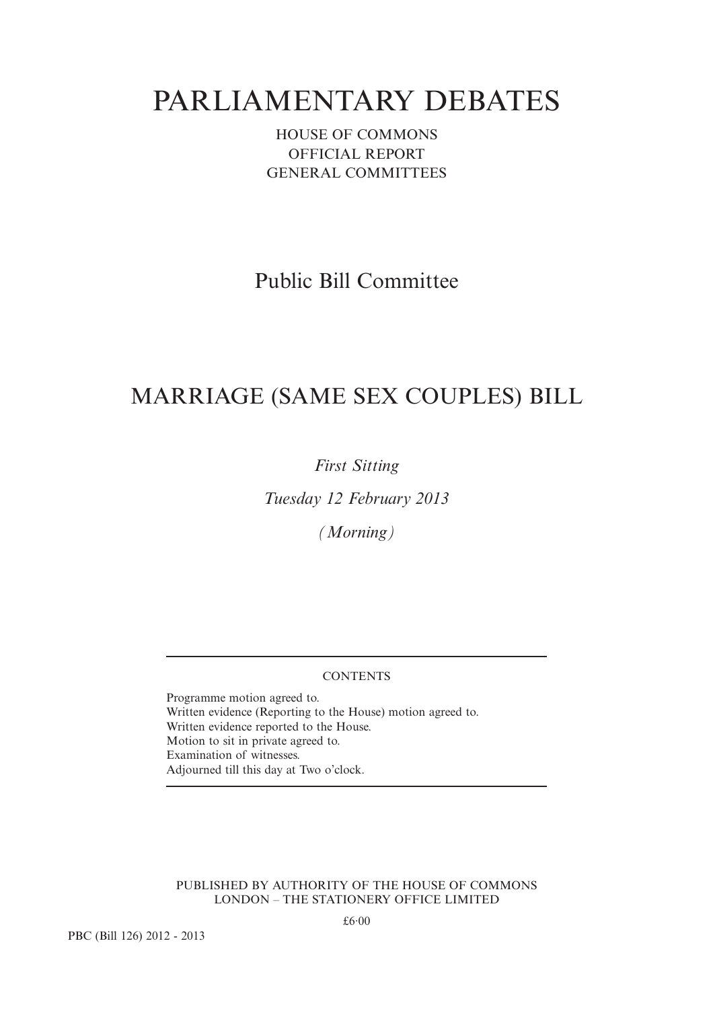# PARLIAMENTARY DEBATES

HOUSE OF COMMONS OFFICIAL REPORT GENERAL COMMITTEES

Public Bill Committee

## MARRIAGE (SAME SEX COUPLES) BILL

*First Sitting*

*Tuesday 12 February 2013*

*(Morning)*

## **CONTENTS**

Programme motion agreed to. Written evidence (Reporting to the House) motion agreed to. Written evidence reported to the House. Motion to sit in private agreed to. Examination of witnesses. Adjourned till this day at Two o'clock.

PUBLISHED BY AUTHORITY OF THE HOUSE OF COMMONS LONDON – THE STATIONERY OFFICE LIMITED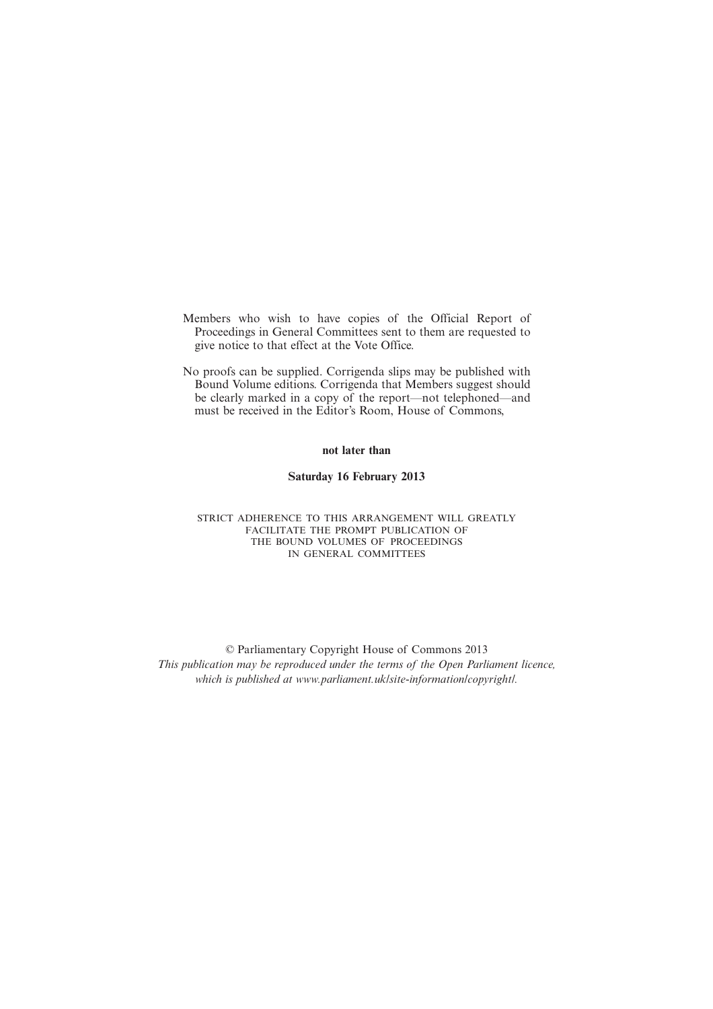- Members who wish to have copies of the Official Report of Proceedings in General Committees sent to them are requested to give notice to that effect at the Vote Office.
- No proofs can be supplied. Corrigenda slips may be published with Bound Volume editions. Corrigenda that Members suggest should be clearly marked in a copy of the report—not telephoned—and must be received in the Editor's Room, House of Commons,

#### **not later than**

#### **Saturday 16 February 2013**

#### STRICT ADHERENCE TO THIS ARRANGEMENT WILL GREATLY FACILITATE THE PROMPT PUBLICATION OF THE BOUND VOLUMES OF PROCEEDINGS IN GENERAL COMMITTEES

© Parliamentary Copyright House of Commons 2013 *This publication may be reproduced under the terms of the Open Parliament licence, which is published at www.parliament.uk/site-information/copyright/.*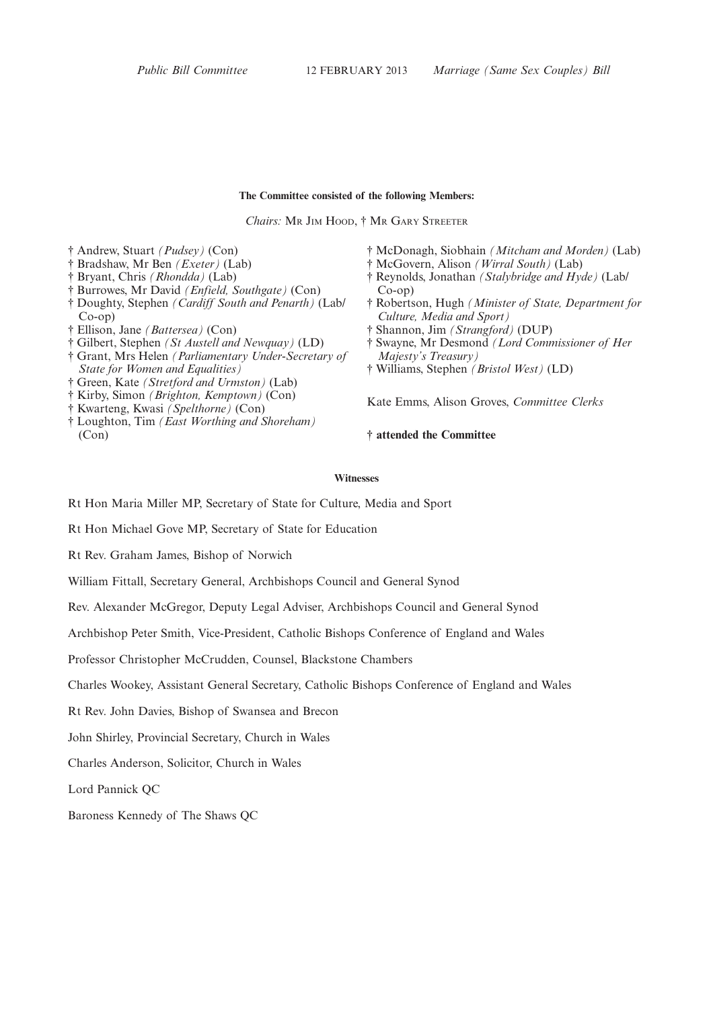#### **The Committee consisted of the following Members:**

*Chairs:* MR JIM HOOD,†MR GARY STREETER

- † Andrew, Stuart *(Pudsey)* (Con)
- † Bradshaw, Mr Ben *(Exeter)* (Lab)
- † Bryant, Chris *(Rhondda)* (Lab)
- † Burrowes, Mr David *(Enfield, Southgate)* (Con)
- † Doughty, Stephen *(Cardiff South and Penarth)* (Lab/ Co-op)
- † Ellison, Jane *(Battersea)* (Con)
- † Gilbert, Stephen *(St Austell and Newquay)* (LD)
- † Grant, Mrs Helen *(Parliamentary Under-Secretary of State for Women and Equalities)*
- † Green, Kate *(Stretford and Urmston)* (Lab)
- † Kirby, Simon *(Brighton, Kemptown)* (Con)
- † Kwarteng, Kwasi *(Spelthorne)* (Con)
- † Loughton, Tim *(East Worthing and Shoreham)* (Con)
- † McDonagh, Siobhain *(Mitcham and Morden)* (Lab)
- † McGovern, Alison *(Wirral South)* (Lab)
- † Reynolds, Jonathan *(Stalybridge and Hyde)* (Lab/ Co-op)
- † Robertson, Hugh *(Minister of State, Department for Culture, Media and Sport)*
- † Shannon, Jim *(Strangford)* (DUP)
- † Swayne, Mr Desmond *(Lord Commissioner of Her Majesty's Treasury)*
- † Williams, Stephen *(Bristol West)* (LD)

Kate Emms, Alison Groves, *Committee Clerks*

**† attended the Committee**

### **Witnesses**

Rt Hon Maria Miller MP, Secretary of State for Culture, Media and Sport

Rt Hon Michael Gove MP, Secretary of State for Education

Rt Rev. Graham James, Bishop of Norwich

William Fittall, Secretary General, Archbishops Council and General Synod

Rev. Alexander McGregor, Deputy Legal Adviser, Archbishops Council and General Synod

Archbishop Peter Smith, Vice-President, Catholic Bishops Conference of England and Wales

Professor Christopher McCrudden, Counsel, Blackstone Chambers

Charles Wookey, Assistant General Secretary, Catholic Bishops Conference of England and Wales

Rt Rev. John Davies, Bishop of Swansea and Brecon

John Shirley, Provincial Secretary, Church in Wales

Charles Anderson, Solicitor, Church in Wales

Lord Pannick QC

Baroness Kennedy of The Shaws QC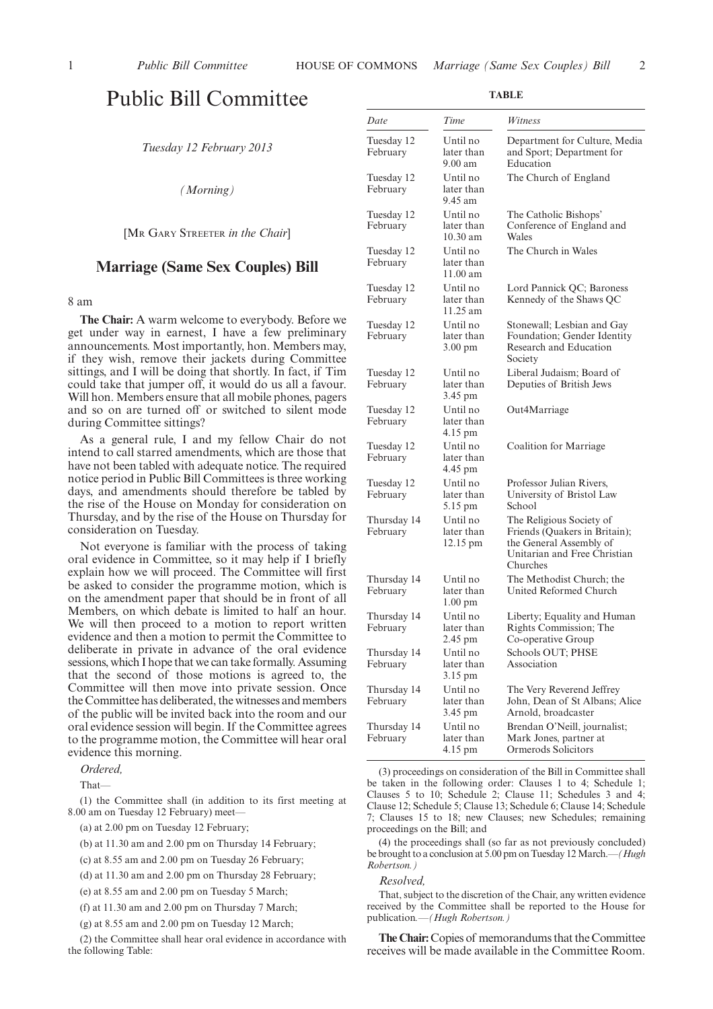## Public Bill Committee

*Tuesday 12 February 2013*

*(Morning)*

[MR GARY STREETER *in the Chair*]

## **Marriage (Same Sex Couples) Bill**

8 am

**The Chair:** A warm welcome to everybody. Before we get under way in earnest, I have a few preliminary announcements. Most importantly, hon. Members may, if they wish, remove their jackets during Committee sittings, and I will be doing that shortly. In fact, if Tim could take that jumper off, it would do us all a favour. Will hon. Members ensure that all mobile phones, pagers and so on are turned off or switched to silent mode during Committee sittings?

As a general rule, I and my fellow Chair do not intend to call starred amendments, which are those that have not been tabled with adequate notice. The required notice period in Public Bill Committees is three working days, and amendments should therefore be tabled by the rise of the House on Monday for consideration on Thursday, and by the rise of the House on Thursday for consideration on Tuesday.

Not everyone is familiar with the process of taking oral evidence in Committee, so it may help if I briefly explain how we will proceed. The Committee will first be asked to consider the programme motion, which is on the amendment paper that should be in front of all Members, on which debate is limited to half an hour. We will then proceed to a motion to report written evidence and then a motion to permit the Committee to deliberate in private in advance of the oral evidence sessions, which I hope that we can take formally. Assuming that the second of those motions is agreed to, the Committee will then move into private session. Once the Committee has deliberated, the witnesses and members of the public will be invited back into the room and our oral evidence session will begin. If the Committee agrees to the programme motion, the Committee will hear oral evidence this morning.

*Ordered,*

That—

(1) the Committee shall (in addition to its first meeting at 8.00 am on Tuesday 12 February) meet—

(a) at 2.00 pm on Tuesday 12 February;

(b) at 11.30 am and 2.00 pm on Thursday 14 February;

(d) at 11.30 am and 2.00 pm on Thursday 28 February;

(e) at 8.55 am and 2.00 pm on Tuesday 5 March;

(f) at 11.30 am and 2.00 pm on Thursday 7 March;

(g) at 8.55 am and 2.00 pm on Tuesday 12 March;

(2) the Committee shall hear oral evidence in accordance with the following Table:

| Date                    | Time                                        | Witness                                                                                                                          |
|-------------------------|---------------------------------------------|----------------------------------------------------------------------------------------------------------------------------------|
| Tuesday 12<br>February  | Until no<br>later than<br>$9.00$ am         | Department for Culture, Media<br>and Sport; Department for<br>Education                                                          |
| Tuesday 12<br>February  | Until no<br>later than<br>9.45 am           | The Church of England                                                                                                            |
| Tuesday 12<br>February  | Until no<br>later than<br>$10.30$ am        | The Catholic Bishops'<br>Conference of England and<br>Wales                                                                      |
| Tuesday 12<br>February  | Until no<br>later than<br>11.00 am          | The Church in Wales                                                                                                              |
| Tuesday 12<br>February  | Until no<br>later than<br>11.25 am          | Lord Pannick QC; Baroness<br>Kennedy of the Shaws QC                                                                             |
| Tuesday 12<br>February  | Until no<br>later than<br>$3.00 \text{ pm}$ | Stonewall; Lesbian and Gay<br>Foundation; Gender Identity<br>Research and Education<br>Society                                   |
| Tuesday 12<br>February  | Until no<br>later than<br>3.45 pm           | Liberal Judaism; Board of<br>Deputies of British Jews                                                                            |
| Tuesday 12<br>February  | Until no<br>later than<br>4.15 pm           | Out4Marriage                                                                                                                     |
| Tuesday 12<br>February  | Until no<br>later than<br>4.45 pm           | Coalition for Marriage                                                                                                           |
| Tuesday 12<br>February  | Until no<br>later than<br>5.15 pm           | Professor Julian Rivers,<br>University of Bristol Law<br>School                                                                  |
| Thursday 14<br>February | Until no<br>later than<br>12.15 pm          | The Religious Society of<br>Friends (Quakers in Britain);<br>the General Assembly of<br>Unitarian and Free Christian<br>Churches |
| Thursday 14<br>February | Until no<br>later than<br>$1.00 \text{ pm}$ | The Methodist Church; the<br>United Reformed Church                                                                              |
| Thursday 14<br>February | Until no<br>later than<br>2.45 pm           | Liberty; Equality and Human<br>Rights Commission; The<br>Co-operative Group                                                      |
| Thursday 14<br>February | Until no<br>later than<br>3.15 pm           | Schools OUT; PHSE<br>Association                                                                                                 |
| Thursday 14<br>February | Until no<br>later than<br>3.45 pm           | The Very Reverend Jeffrey<br>John, Dean of St Albans; Alice<br>Arnold, broadcaster                                               |
| Thursday 14<br>February | Until no<br>later than<br>4.15 pm           | Brendan O'Neill, journalist;<br>Mark Jones, partner at<br>Ormerods Solicitors                                                    |

(3) proceedings on consideration of the Bill in Committee shall be taken in the following order: Clauses 1 to 4; Schedule 1; Clauses 5 to 10; Schedule 2; Clause 11; Schedules 3 and 4; Clause 12; Schedule 5; Clause 13; Schedule 6; Clause 14; Schedule 7; Clauses 15 to 18; new Clauses; new Schedules; remaining proceedings on the Bill; and

(4) the proceedings shall (so far as not previously concluded) be brought to a conclusion at 5.00 pm on Tuesday 12March.*—(Hugh Robertson.)*

#### *Resolved,*

That, subject to the discretion of the Chair, any written evidence received by the Committee shall be reported to the House for publication*.—(Hugh Robertson.)*

**The Chair:** Copies of memorandums that the Committee receives will be made available in the Committee Room.

<sup>(</sup>c) at 8.55 am and 2.00 pm on Tuesday 26 February;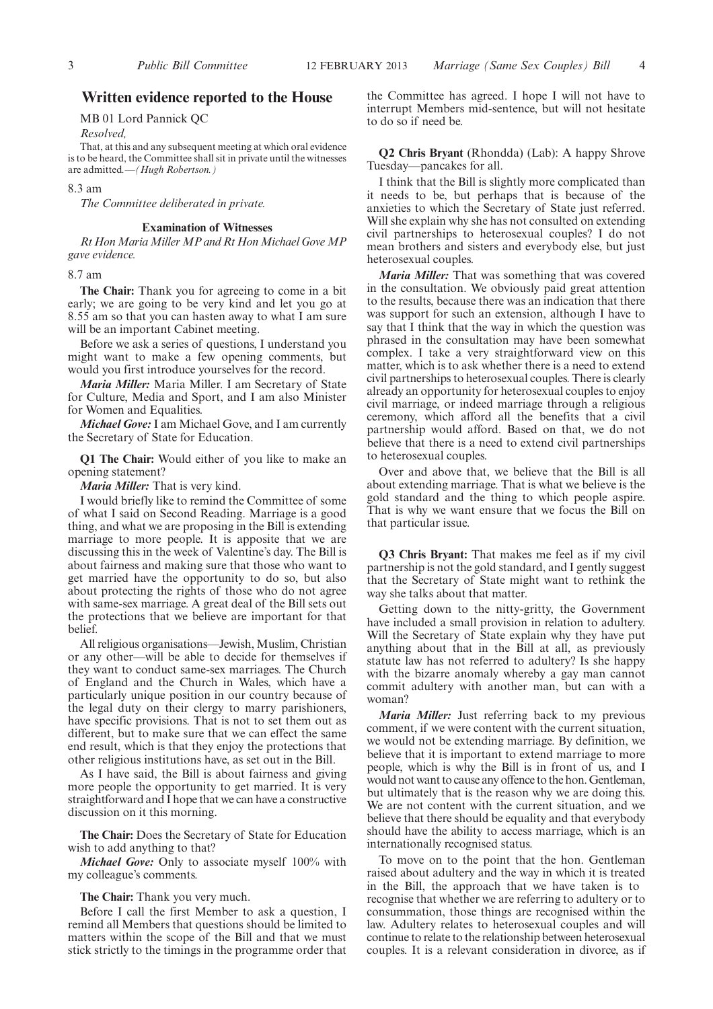## **Written evidence reported to the House**

MB 01 Lord Pannick QC

*Resolved,*

That, at this and any subsequent meeting at which oral evidence is to be heard, the Committee shall sit in private until the witnesses are admitted*.—(Hugh Robertson.)*

#### 8.3 am

*The Committee deliberated in private.*

#### **Examination of Witnesses**

*Rt HonMariaMillerMP and Rt HonMichael GoveMP gave evidence.*

8.7 am

**The Chair:** Thank you for agreeing to come in a bit early; we are going to be very kind and let you go at 8.55 am so that you can hasten away to what I am sure will be an important Cabinet meeting.

Before we ask a series of questions, I understand you might want to make a few opening comments, but would you first introduce yourselves for the record.

*Maria Miller:* Maria Miller. I am Secretary of State for Culture, Media and Sport, and I am also Minister for Women and Equalities.

*Michael Gove:* I am Michael Gove, and I am currently the Secretary of State for Education.

**Q1 The Chair:** Would either of you like to make an opening statement?

*Maria Miller:* That is very kind.

I would briefly like to remind the Committee of some of what I said on Second Reading. Marriage is a good thing, and what we are proposing in the Bill is extending marriage to more people. It is apposite that we are discussing this in the week of Valentine's day. The Bill is about fairness and making sure that those who want to get married have the opportunity to do so, but also about protecting the rights of those who do not agree with same-sex marriage. A great deal of the Bill sets out the protections that we believe are important for that belief.

All religious organisations—Jewish, Muslim, Christian or any other—will be able to decide for themselves if they want to conduct same-sex marriages. The Church of England and the Church in Wales, which have a particularly unique position in our country because of the legal duty on their clergy to marry parishioners, have specific provisions. That is not to set them out as different, but to make sure that we can effect the same end result, which is that they enjoy the protections that other religious institutions have, as set out in the Bill.

As I have said, the Bill is about fairness and giving more people the opportunity to get married. It is very straightforward and I hope that we can have a constructive discussion on it this morning.

**The Chair:** Does the Secretary of State for Education wish to add anything to that?

*Michael Gove:* Only to associate myself 100% with my colleague's comments.

**The Chair:** Thank you very much.

Before I call the first Member to ask a question, I remind all Members that questions should be limited to matters within the scope of the Bill and that we must stick strictly to the timings in the programme order that the Committee has agreed. I hope I will not have to interrupt Members mid-sentence, but will not hesitate to do so if need be.

**Q2 Chris Bryant** (Rhondda) (Lab): A happy Shrove Tuesday—pancakes for all.

I think that the Bill is slightly more complicated than it needs to be, but perhaps that is because of the anxieties to which the Secretary of State just referred. Will she explain why she has not consulted on extending civil partnerships to heterosexual couples? I do not mean brothers and sisters and everybody else, but just heterosexual couples.

*Maria Miller:* That was something that was covered in the consultation. We obviously paid great attention to the results, because there was an indication that there was support for such an extension, although I have to say that I think that the way in which the question was phrased in the consultation may have been somewhat complex. I take a very straightforward view on this matter, which is to ask whether there is a need to extend civil partnerships to heterosexual couples. There is clearly already an opportunity for heterosexual couples to enjoy civil marriage, or indeed marriage through a religious ceremony, which afford all the benefits that a civil partnership would afford. Based on that, we do not believe that there is a need to extend civil partnerships to heterosexual couples.

Over and above that, we believe that the Bill is all about extending marriage. That is what we believe is the gold standard and the thing to which people aspire. That is why we want ensure that we focus the Bill on that particular issue.

**Q3 Chris Bryant:** That makes me feel as if my civil partnership is not the gold standard, and I gently suggest that the Secretary of State might want to rethink the way she talks about that matter.

Getting down to the nitty-gritty, the Government have included a small provision in relation to adultery. Will the Secretary of State explain why they have put anything about that in the Bill at all, as previously statute law has not referred to adultery? Is she happy with the bizarre anomaly whereby a gay man cannot commit adultery with another man, but can with a woman?

*Maria Miller:* Just referring back to my previous comment, if we were content with the current situation, we would not be extending marriage. By definition, we believe that it is important to extend marriage to more people, which is why the Bill is in front of us, and I would not want to cause any offence to the hon. Gentleman, but ultimately that is the reason why we are doing this. We are not content with the current situation, and we believe that there should be equality and that everybody should have the ability to access marriage, which is an internationally recognised status.

To move on to the point that the hon. Gentleman raised about adultery and the way in which it is treated in the Bill, the approach that we have taken is to recognise that whether we are referring to adultery or to consummation, those things are recognised within the law. Adultery relates to heterosexual couples and will continue to relate to the relationship between heterosexual couples. It is a relevant consideration in divorce, as if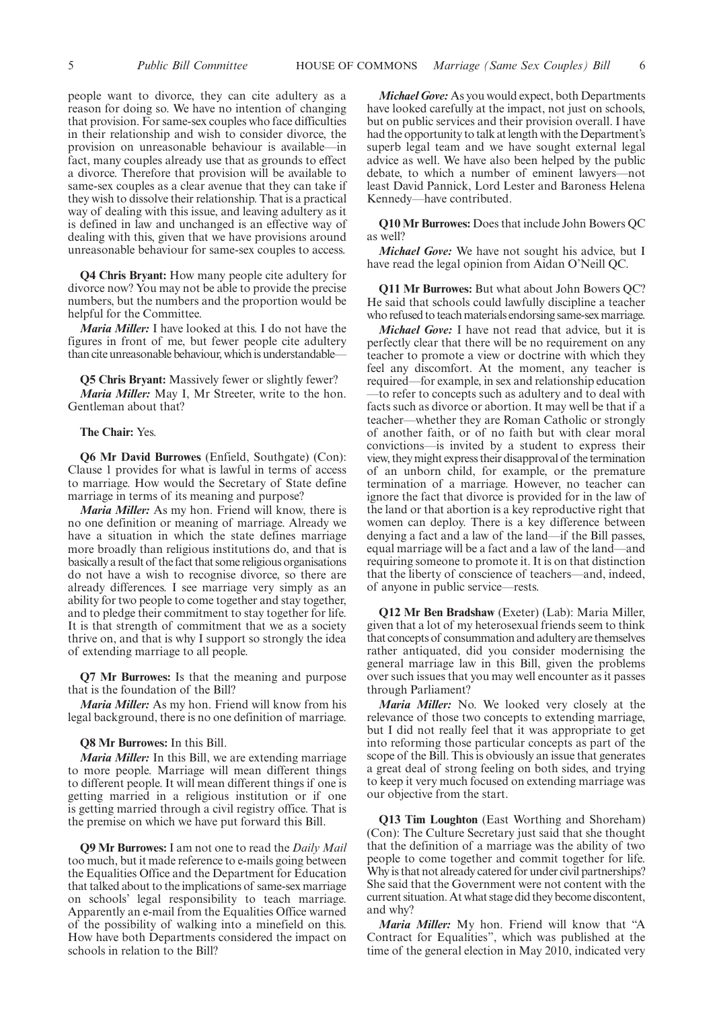people want to divorce, they can cite adultery as a reason for doing so. We have no intention of changing that provision. For same-sex couples who face difficulties in their relationship and wish to consider divorce, the provision on unreasonable behaviour is available—in fact, many couples already use that as grounds to effect a divorce. Therefore that provision will be available to same-sex couples as a clear avenue that they can take if they wish to dissolve their relationship. That is a practical way of dealing with this issue, and leaving adultery as it is defined in law and unchanged is an effective way of dealing with this, given that we have provisions around unreasonable behaviour for same-sex couples to access.

**Q4 Chris Bryant:** How many people cite adultery for divorce now? You may not be able to provide the precise numbers, but the numbers and the proportion would be helpful for the Committee.

*Maria Miller:* I have looked at this. I do not have the figures in front of me, but fewer people cite adultery than cite unreasonable behaviour, which is understandable-

**Q5 Chris Bryant:** Massively fewer or slightly fewer? *Maria Miller:* May I, Mr Streeter, write to the hon. Gentleman about that?

#### **The Chair:** Yes.

**Q6 Mr David Burrowes** (Enfield, Southgate) (Con): Clause 1 provides for what is lawful in terms of access to marriage. How would the Secretary of State define marriage in terms of its meaning and purpose?

*Maria Miller:* As my hon. Friend will know, there is no one definition or meaning of marriage. Already we have a situation in which the state defines marriage more broadly than religious institutions do, and that is basically a result of the fact that some religious organisations do not have a wish to recognise divorce, so there are already differences. I see marriage very simply as an ability for two people to come together and stay together, and to pledge their commitment to stay together for life. It is that strength of commitment that we as a society thrive on, and that is why I support so strongly the idea of extending marriage to all people.

**Q7 Mr Burrowes:** Is that the meaning and purpose that is the foundation of the Bill?

*Maria Miller:* As my hon. Friend will know from his legal background, there is no one definition of marriage.

**Q8 Mr Burrowes:** In this Bill.

*Maria Miller:* In this Bill, we are extending marriage to more people. Marriage will mean different things to different people. It will mean different things if one is getting married in a religious institution or if one is getting married through a civil registry office. That is the premise on which we have put forward this Bill.

**Q9 Mr Burrowes:** I am not one to read the *Daily Mail* too much, but it made reference to e-mails going between the Equalities Office and the Department for Education that talked about to the implications of same-sex marriage on schools' legal responsibility to teach marriage. Apparently an e-mail from the Equalities Office warned of the possibility of walking into a minefield on this. How have both Departments considered the impact on schools in relation to the Bill?

*Michael Gove:* As you would expect, both Departments have looked carefully at the impact, not just on schools, but on public services and their provision overall. I have had the opportunity to talk at length with the Department's superb legal team and we have sought external legal advice as well. We have also been helped by the public debate, to which a number of eminent lawyers—not least David Pannick, Lord Lester and Baroness Helena Kennedy—have contributed.

**Q10 Mr Burrowes:** Does that include John Bowers QC as well?

*Michael Gove:* We have not sought his advice, but I have read the legal opinion from Aidan O'Neill QC.

**Q11 Mr Burrowes:** But what about John Bowers QC? He said that schools could lawfully discipline a teacher who refused to teach materials endorsing same-sex marriage.

*Michael Gove:* I have not read that advice, but it is perfectly clear that there will be no requirement on any teacher to promote a view or doctrine with which they feel any discomfort. At the moment, any teacher is required—for example, in sex and relationship education —to refer to concepts such as adultery and to deal with facts such as divorce or abortion. It may well be that if a teacher—whether they are Roman Catholic or strongly of another faith, or of no faith but with clear moral convictions—is invited by a student to express their view, theymight express their disapproval of the termination of an unborn child, for example, or the premature termination of a marriage. However, no teacher can ignore the fact that divorce is provided for in the law of the land or that abortion is a key reproductive right that women can deploy. There is a key difference between denying a fact and a law of the land—if the Bill passes, equal marriage will be a fact and a law of the land—and requiring someone to promote it. It is on that distinction that the liberty of conscience of teachers—and, indeed, of anyone in public service—rests.

**Q12 Mr Ben Bradshaw** (Exeter) (Lab): Maria Miller, given that a lot of my heterosexual friends seem to think that concepts of consummation and adultery are themselves rather antiquated, did you consider modernising the general marriage law in this Bill, given the problems over such issues that you may well encounter as it passes through Parliament?

*Maria Miller:* No. We looked very closely at the relevance of those two concepts to extending marriage, but I did not really feel that it was appropriate to get into reforming those particular concepts as part of the scope of the Bill. This is obviously an issue that generates a great deal of strong feeling on both sides, and trying to keep it very much focused on extending marriage was our objective from the start.

**Q13 Tim Loughton** (East Worthing and Shoreham) (Con): The Culture Secretary just said that she thought that the definition of a marriage was the ability of two people to come together and commit together for life. Why is that not already catered for under civil partnerships? She said that the Government were not content with the current situation. At what stage did they become discontent, and why?

*Maria Miller:* My hon. Friend will know that "A Contract for Equalities", which was published at the time of the general election in May 2010, indicated very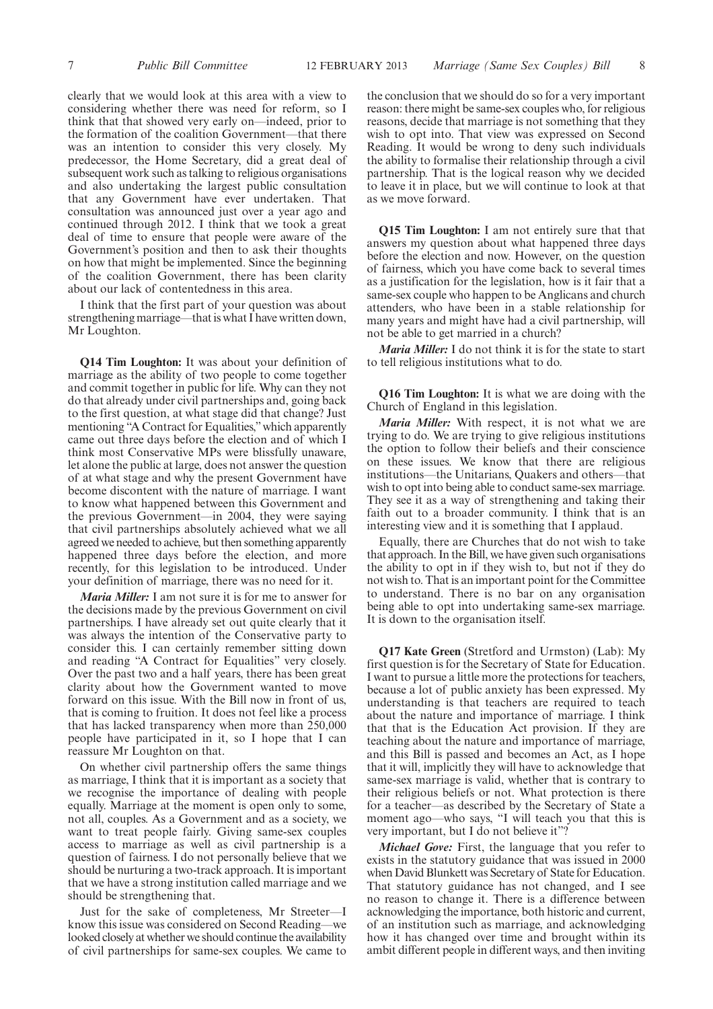clearly that we would look at this area with a view to considering whether there was need for reform, so I think that that showed very early on—indeed, prior to the formation of the coalition Government—that there was an intention to consider this very closely. My predecessor, the Home Secretary, did a great deal of subsequent work such as talking to religious organisations and also undertaking the largest public consultation that any Government have ever undertaken. That consultation was announced just over a year ago and continued through 2012. I think that we took a great deal of time to ensure that people were aware of the Government's position and then to ask their thoughts on how that might be implemented. Since the beginning of the coalition Government, there has been clarity about our lack of contentedness in this area.

I think that the first part of your question was about strengthening marriage—that is what I have written down, Mr Loughton.

**Q14 Tim Loughton:** It was about your definition of marriage as the ability of two people to come together and commit together in public for life. Why can they not do that already under civil partnerships and, going back to the first question, at what stage did that change? Just mentioning "A Contract for Equalities,"which apparently came out three days before the election and of which I think most Conservative MPs were blissfully unaware, let alone the public at large, does not answer the question of at what stage and why the present Government have become discontent with the nature of marriage. I want to know what happened between this Government and the previous Government—in 2004, they were saying that civil partnerships absolutely achieved what we all agreed we needed to achieve, but then something apparently happened three days before the election, and more recently, for this legislation to be introduced. Under your definition of marriage, there was no need for it.

*Maria Miller:* I am not sure it is for me to answer for the decisions made by the previous Government on civil partnerships. I have already set out quite clearly that it was always the intention of the Conservative party to consider this. I can certainly remember sitting down and reading "A Contract for Equalities" very closely. Over the past two and a half years, there has been great clarity about how the Government wanted to move forward on this issue. With the Bill now in front of us, that is coming to fruition. It does not feel like a process that has lacked transparency when more than 250,000 people have participated in it, so I hope that I can reassure Mr Loughton on that.

On whether civil partnership offers the same things as marriage, I think that it is important as a society that we recognise the importance of dealing with people equally. Marriage at the moment is open only to some, not all, couples. As a Government and as a society, we want to treat people fairly. Giving same-sex couples access to marriage as well as civil partnership is a question of fairness. I do not personally believe that we should be nurturing a two-track approach. It is important that we have a strong institution called marriage and we should be strengthening that.

Just for the sake of completeness, Mr Streeter—I know this issue was considered on Second Reading—we looked closely at whether we should continue the availability of civil partnerships for same-sex couples. We came to the conclusion that we should do so for a very important reason: there might be same-sex couples who, for religious reasons, decide that marriage is not something that they wish to opt into. That view was expressed on Second Reading. It would be wrong to deny such individuals the ability to formalise their relationship through a civil partnership. That is the logical reason why we decided to leave it in place, but we will continue to look at that as we move forward.

**Q15 Tim Loughton:** I am not entirely sure that that answers my question about what happened three days before the election and now. However, on the question of fairness, which you have come back to several times as a justification for the legislation, how is it fair that a same-sex couple who happen to be Anglicans and church attenders, who have been in a stable relationship for many years and might have had a civil partnership, will not be able to get married in a church?

*Maria Miller:* I do not think it is for the state to start to tell religious institutions what to do.

**Q16 Tim Loughton:** It is what we are doing with the Church of England in this legislation.

*Maria Miller:* With respect, it is not what we are trying to do. We are trying to give religious institutions the option to follow their beliefs and their conscience on these issues. We know that there are religious institutions—the Unitarians, Quakers and others—that wish to opt into being able to conduct same-sex marriage. They see it as a way of strengthening and taking their faith out to a broader community. I think that is an interesting view and it is something that I applaud.

Equally, there are Churches that do not wish to take that approach. In the Bill, we have given such organisations the ability to opt in if they wish to, but not if they do not wish to. That is an important point for the Committee to understand. There is no bar on any organisation being able to opt into undertaking same-sex marriage. It is down to the organisation itself.

**Q17 Kate Green** (Stretford and Urmston) (Lab): My first question is for the Secretary of State for Education. I want to pursue a little more the protections for teachers, because a lot of public anxiety has been expressed. My understanding is that teachers are required to teach about the nature and importance of marriage. I think that that is the Education Act provision. If they are teaching about the nature and importance of marriage, and this Bill is passed and becomes an Act, as I hope that it will, implicitly they will have to acknowledge that same-sex marriage is valid, whether that is contrary to their religious beliefs or not. What protection is there for a teacher—as described by the Secretary of State a moment ago—who says, "I will teach you that this is very important, but I do not believe it"?

*Michael Gove:* First, the language that you refer to exists in the statutory guidance that was issued in 2000 when David Blunkett was Secretary of State for Education. That statutory guidance has not changed, and I see no reason to change it. There is a difference between acknowledging the importance, both historic and current, of an institution such as marriage, and acknowledging how it has changed over time and brought within its ambit different people in different ways, and then inviting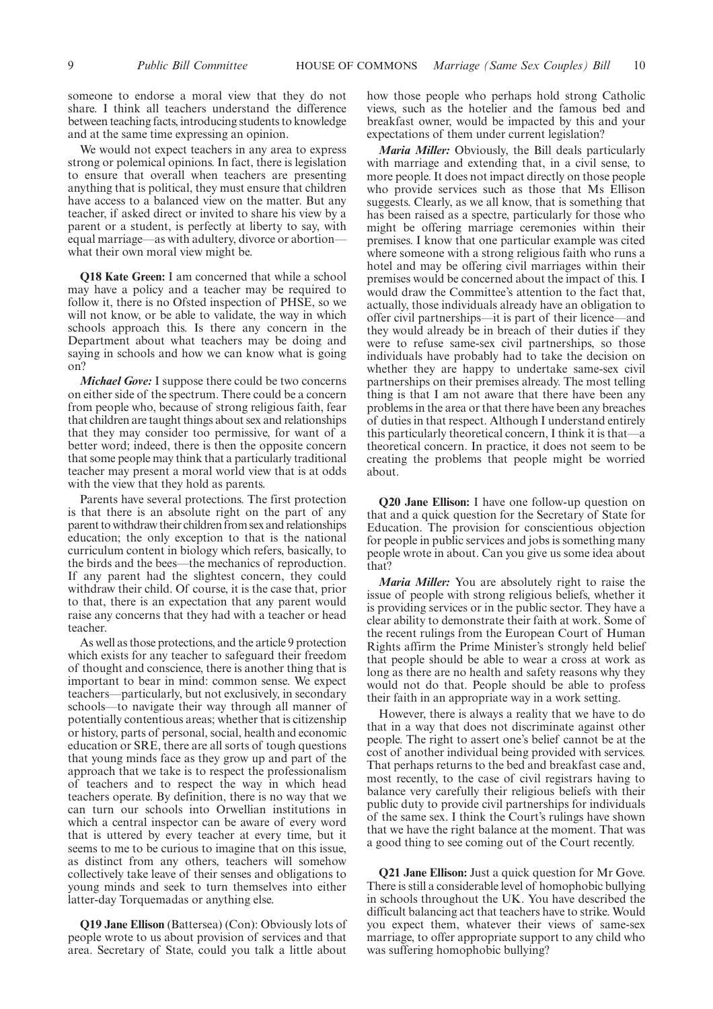someone to endorse a moral view that they do not share. I think all teachers understand the difference between teaching facts, introducing students to knowledge and at the same time expressing an opinion.

We would not expect teachers in any area to express strong or polemical opinions. In fact, there is legislation to ensure that overall when teachers are presenting anything that is political, they must ensure that children have access to a balanced view on the matter. But any teacher, if asked direct or invited to share his view by a parent or a student, is perfectly at liberty to say, with equal marriage—as with adultery, divorce or abortion what their own moral view might be.

**Q18 Kate Green:** I am concerned that while a school may have a policy and a teacher may be required to follow it, there is no Ofsted inspection of PHSE, so we will not know, or be able to validate, the way in which schools approach this. Is there any concern in the Department about what teachers may be doing and saying in schools and how we can know what is going on?

*Michael Gove:* I suppose there could be two concerns on either side of the spectrum. There could be a concern from people who, because of strong religious faith, fear that children are taught things about sex and relationships that they may consider too permissive, for want of a better word; indeed, there is then the opposite concern that some people may think that a particularly traditional teacher may present a moral world view that is at odds with the view that they hold as parents.

Parents have several protections. The first protection is that there is an absolute right on the part of any parent to withdraw their children from sex and relationships education; the only exception to that is the national curriculum content in biology which refers, basically, to the birds and the bees—the mechanics of reproduction. If any parent had the slightest concern, they could withdraw their child. Of course, it is the case that, prior to that, there is an expectation that any parent would raise any concerns that they had with a teacher or head teacher.

As well as those protections, and the article 9 protection which exists for any teacher to safeguard their freedom of thought and conscience, there is another thing that is important to bear in mind: common sense. We expect teachers—particularly, but not exclusively, in secondary schools—to navigate their way through all manner of potentially contentious areas; whether that is citizenship or history, parts of personal, social, health and economic education or SRE, there are all sorts of tough questions that young minds face as they grow up and part of the approach that we take is to respect the professionalism of teachers and to respect the way in which head teachers operate. By definition, there is no way that we can turn our schools into Orwellian institutions in which a central inspector can be aware of every word that is uttered by every teacher at every time, but it seems to me to be curious to imagine that on this issue, as distinct from any others, teachers will somehow collectively take leave of their senses and obligations to young minds and seek to turn themselves into either latter-day Torquemadas or anything else.

**Q19 Jane Ellison** (Battersea) (Con): Obviously lots of people wrote to us about provision of services and that area. Secretary of State, could you talk a little about

how those people who perhaps hold strong Catholic views, such as the hotelier and the famous bed and breakfast owner, would be impacted by this and your expectations of them under current legislation?

*Maria Miller:* Obviously, the Bill deals particularly with marriage and extending that, in a civil sense, to more people. It does not impact directly on those people who provide services such as those that Ms Ellison suggests. Clearly, as we all know, that is something that has been raised as a spectre, particularly for those who might be offering marriage ceremonies within their premises. I know that one particular example was cited where someone with a strong religious faith who runs a hotel and may be offering civil marriages within their premises would be concerned about the impact of this. I would draw the Committee's attention to the fact that, actually, those individuals already have an obligation to offer civil partnerships—it is part of their licence—and they would already be in breach of their duties if they were to refuse same-sex civil partnerships, so those individuals have probably had to take the decision on whether they are happy to undertake same-sex civil partnerships on their premises already. The most telling thing is that I am not aware that there have been any problems in the area or that there have been any breaches of duties in that respect. Although I understand entirely this particularly theoretical concern, I think it is that—a theoretical concern. In practice, it does not seem to be creating the problems that people might be worried about.

**Q20 Jane Ellison:** I have one follow-up question on that and a quick question for the Secretary of State for Education. The provision for conscientious objection for people in public services and jobs is something many people wrote in about. Can you give us some idea about that?

*Maria Miller:* You are absolutely right to raise the issue of people with strong religious beliefs, whether it is providing services or in the public sector. They have a clear ability to demonstrate their faith at work. Some of the recent rulings from the European Court of Human Rights affirm the Prime Minister's strongly held belief that people should be able to wear a cross at work as long as there are no health and safety reasons why they would not do that. People should be able to profess their faith in an appropriate way in a work setting.

However, there is always a reality that we have to do that in a way that does not discriminate against other people. The right to assert one's belief cannot be at the cost of another individual being provided with services. That perhaps returns to the bed and breakfast case and, most recently, to the case of civil registrars having to balance very carefully their religious beliefs with their public duty to provide civil partnerships for individuals of the same sex. I think the Court's rulings have shown that we have the right balance at the moment. That was a good thing to see coming out of the Court recently.

**Q21 Jane Ellison:** Just a quick question for Mr Gove. There is still a considerable level of homophobic bullying in schools throughout the UK. You have described the difficult balancing act that teachers have to strike. Would you expect them, whatever their views of same-sex marriage, to offer appropriate support to any child who was suffering homophobic bullying?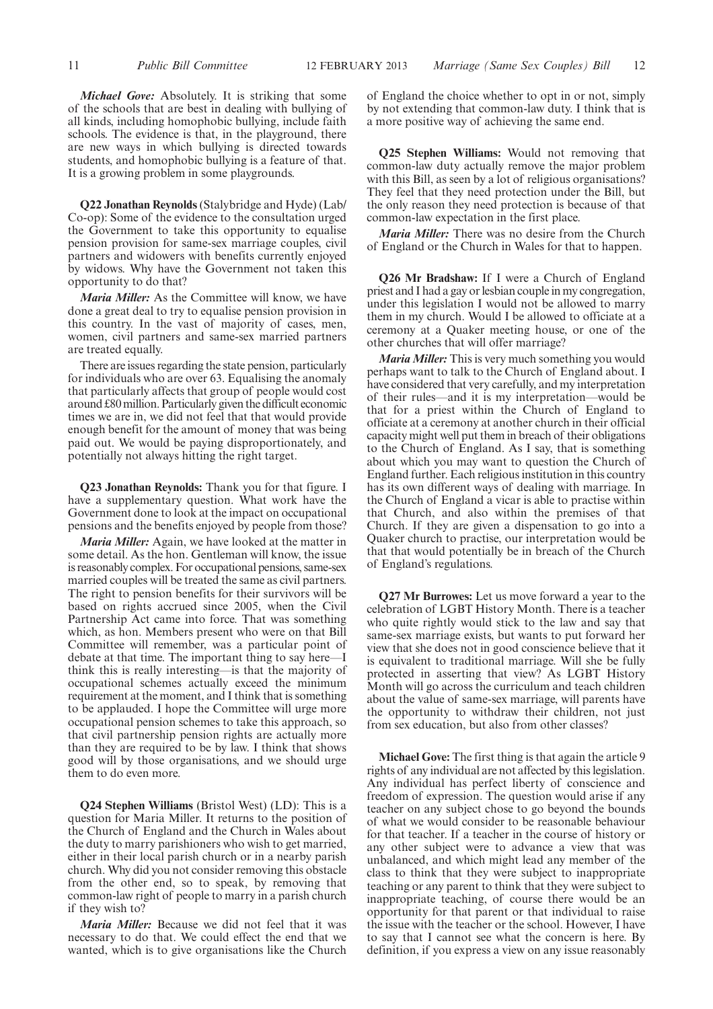*Michael Gove:* Absolutely. It is striking that some of the schools that are best in dealing with bullying of all kinds, including homophobic bullying, include faith schools. The evidence is that, in the playground, there are new ways in which bullying is directed towards students, and homophobic bullying is a feature of that. It is a growing problem in some playgrounds.

**Q22 Jonathan Reynolds** (Stalybridge and Hyde) (Lab/ Co-op): Some of the evidence to the consultation urged the Government to take this opportunity to equalise pension provision for same-sex marriage couples, civil partners and widowers with benefits currently enjoyed by widows. Why have the Government not taken this opportunity to do that?

*Maria Miller:* As the Committee will know, we have done a great deal to try to equalise pension provision in this country. In the vast of majority of cases, men, women, civil partners and same-sex married partners are treated equally.

There are issues regarding the state pension, particularly for individuals who are over 63. Equalising the anomaly that particularly affects that group of people would cost around £80 million. Particularly given the difficult economic times we are in, we did not feel that that would provide enough benefit for the amount of money that was being paid out. We would be paying disproportionately, and potentially not always hitting the right target.

**Q23 Jonathan Reynolds:** Thank you for that figure. I have a supplementary question. What work have the Government done to look at the impact on occupational pensions and the benefits enjoyed by people from those?

*Maria Miller:* Again, we have looked at the matter in some detail. As the hon. Gentleman will know, the issue is reasonably complex. For occupational pensions, same-sex married couples will be treated the same as civil partners. The right to pension benefits for their survivors will be based on rights accrued since 2005, when the Civil Partnership Act came into force. That was something which, as hon. Members present who were on that Bill Committee will remember, was a particular point of debate at that time. The important thing to say here—I think this is really interesting—is that the majority of occupational schemes actually exceed the minimum requirement at the moment, and I think that is something to be applauded. I hope the Committee will urge more occupational pension schemes to take this approach, so that civil partnership pension rights are actually more than they are required to be by law. I think that shows good will by those organisations, and we should urge them to do even more.

**Q24 Stephen Williams** (Bristol West) (LD): This is a question for Maria Miller. It returns to the position of the Church of England and the Church in Wales about the duty to marry parishioners who wish to get married, either in their local parish church or in a nearby parish church. Why did you not consider removing this obstacle from the other end, so to speak, by removing that common-law right of people to marry in a parish church if they wish to?

*Maria Miller:* Because we did not feel that it was necessary to do that. We could effect the end that we wanted, which is to give organisations like the Church of England the choice whether to opt in or not, simply by not extending that common-law duty. I think that is a more positive way of achieving the same end.

**Q25 Stephen Williams:** Would not removing that common-law duty actually remove the major problem with this Bill, as seen by a lot of religious organisations? They feel that they need protection under the Bill, but the only reason they need protection is because of that common-law expectation in the first place.

*Maria Miller:* There was no desire from the Church of England or the Church in Wales for that to happen.

**Q26 Mr Bradshaw:** If I were a Church of England priest and I had a gay or lesbian couple in my congregation, under this legislation I would not be allowed to marry them in my church. Would I be allowed to officiate at a ceremony at a Quaker meeting house, or one of the other churches that will offer marriage?

*Maria Miller:* This is very much something you would perhaps want to talk to the Church of England about. I have considered that very carefully, and my interpretation of their rules—and it is my interpretation—would be that for a priest within the Church of England to officiate at a ceremony at another church in their official capacity might well put them in breach of their obligations to the Church of England. As I say, that is something about which you may want to question the Church of England further. Each religious institution in this country has its own different ways of dealing with marriage. In the Church of England a vicar is able to practise within that Church, and also within the premises of that Church. If they are given a dispensation to go into a Quaker church to practise, our interpretation would be that that would potentially be in breach of the Church of England's regulations.

**Q27 Mr Burrowes:** Let us move forward a year to the celebration of LGBT History Month. There is a teacher who quite rightly would stick to the law and say that same-sex marriage exists, but wants to put forward her view that she does not in good conscience believe that it is equivalent to traditional marriage. Will she be fully protected in asserting that view? As LGBT History Month will go across the curriculum and teach children about the value of same-sex marriage, will parents have the opportunity to withdraw their children, not just from sex education, but also from other classes?

**Michael Gove:** The first thing is that again the article 9 rights of any individual are not affected by this legislation. Any individual has perfect liberty of conscience and freedom of expression. The question would arise if any teacher on any subject chose to go beyond the bounds of what we would consider to be reasonable behaviour for that teacher. If a teacher in the course of history or any other subject were to advance a view that was unbalanced, and which might lead any member of the class to think that they were subject to inappropriate teaching or any parent to think that they were subject to inappropriate teaching, of course there would be an opportunity for that parent or that individual to raise the issue with the teacher or the school. However, I have to say that I cannot see what the concern is here. By definition, if you express a view on any issue reasonably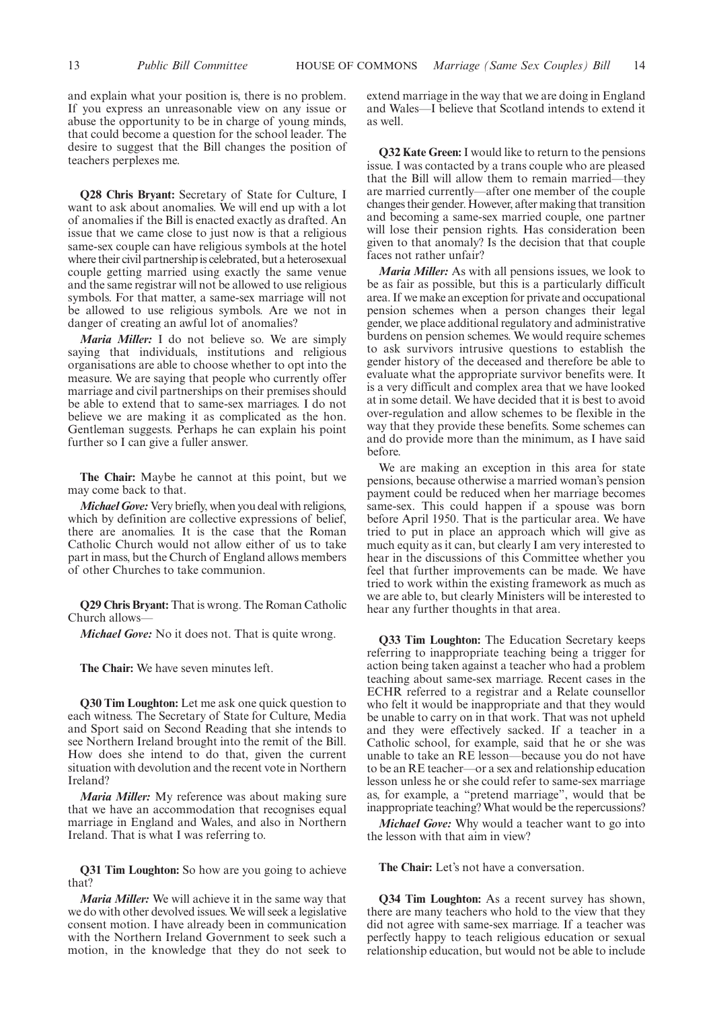and explain what your position is, there is no problem. If you express an unreasonable view on any issue or abuse the opportunity to be in charge of young minds, that could become a question for the school leader. The desire to suggest that the Bill changes the position of teachers perplexes me.

**Q28 Chris Bryant:** Secretary of State for Culture, I want to ask about anomalies. We will end up with a lot of anomalies if the Bill is enacted exactly as drafted. An issue that we came close to just now is that a religious same-sex couple can have religious symbols at the hotel where their civil partnership is celebrated, but a heterosexual couple getting married using exactly the same venue and the same registrar will not be allowed to use religious symbols. For that matter, a same-sex marriage will not be allowed to use religious symbols. Are we not in danger of creating an awful lot of anomalies?

*Maria Miller:* I do not believe so. We are simply saying that individuals, institutions and religious organisations are able to choose whether to opt into the measure. We are saying that people who currently offer marriage and civil partnerships on their premises should be able to extend that to same-sex marriages. I do not believe we are making it as complicated as the hon. Gentleman suggests. Perhaps he can explain his point further so I can give a fuller answer.

**The Chair:** Maybe he cannot at this point, but we may come back to that.

*Michael Gove:* Very briefly, when you deal with religions, which by definition are collective expressions of belief, there are anomalies. It is the case that the Roman Catholic Church would not allow either of us to take part in mass, but the Church of England allows members of other Churches to take communion.

**Q29 Chris Bryant:** That is wrong. The Roman Catholic Church allows—

*Michael Gove:* No it does not. That is quite wrong.

**The Chair:** We have seven minutes left.

**Q30 Tim Loughton:** Let me ask one quick question to each witness. The Secretary of State for Culture, Media and Sport said on Second Reading that she intends to see Northern Ireland brought into the remit of the Bill. How does she intend to do that, given the current situation with devolution and the recent vote in Northern Ireland?

*Maria Miller:* My reference was about making sure that we have an accommodation that recognises equal marriage in England and Wales, and also in Northern Ireland. That is what I was referring to.

**Q31 Tim Loughton:** So how are you going to achieve that?

*Maria Miller:* We will achieve it in the same way that we do with other devolved issues. We will seek a legislative consent motion. I have already been in communication with the Northern Ireland Government to seek such a motion, in the knowledge that they do not seek to extend marriage in the way that we are doing in England and Wales—I believe that Scotland intends to extend it as well.

**Q32 Kate Green:** I would like to return to the pensions issue. I was contacted by a trans couple who are pleased that the Bill will allow them to remain married—they are married currently—after one member of the couple changes their gender. However, after making that transition and becoming a same-sex married couple, one partner will lose their pension rights. Has consideration been given to that anomaly? Is the decision that that couple faces not rather unfair?

*Maria Miller:* As with all pensions issues, we look to be as fair as possible, but this is a particularly difficult area. If we make an exception for private and occupational pension schemes when a person changes their legal gender, we place additional regulatory and administrative burdens on pension schemes. We would require schemes to ask survivors intrusive questions to establish the gender history of the deceased and therefore be able to evaluate what the appropriate survivor benefits were. It is a very difficult and complex area that we have looked at in some detail. We have decided that it is best to avoid over-regulation and allow schemes to be flexible in the way that they provide these benefits. Some schemes can and do provide more than the minimum, as I have said before.

We are making an exception in this area for state pensions, because otherwise a married woman's pension payment could be reduced when her marriage becomes same-sex. This could happen if a spouse was born before April 1950. That is the particular area. We have tried to put in place an approach which will give as much equity as it can, but clearly I am very interested to hear in the discussions of this Committee whether you feel that further improvements can be made. We have tried to work within the existing framework as much as we are able to, but clearly Ministers will be interested to hear any further thoughts in that area.

**Q33 Tim Loughton:** The Education Secretary keeps referring to inappropriate teaching being a trigger for action being taken against a teacher who had a problem teaching about same-sex marriage. Recent cases in the ECHR referred to a registrar and a Relate counsellor who felt it would be inappropriate and that they would be unable to carry on in that work. That was not upheld and they were effectively sacked. If a teacher in a Catholic school, for example, said that he or she was unable to take an RE lesson—because you do not have to be an RE teacher—or a sex and relationship education lesson unless he or she could refer to same-sex marriage as, for example, a "pretend marriage", would that be inappropriate teaching? What would be the repercussions?

*Michael Gove:* Why would a teacher want to go into the lesson with that aim in view?

**The Chair:** Let's not have a conversation.

**Q34 Tim Loughton:** As a recent survey has shown, there are many teachers who hold to the view that they did not agree with same-sex marriage. If a teacher was perfectly happy to teach religious education or sexual relationship education, but would not be able to include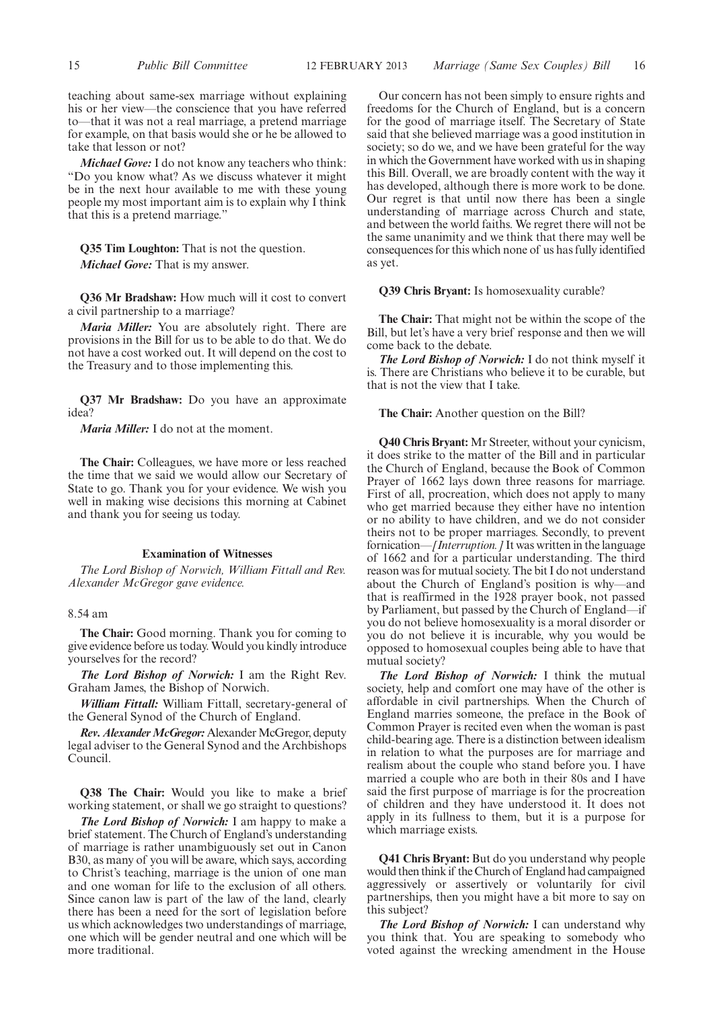teaching about same-sex marriage without explaining his or her view—the conscience that you have referred to—that it was not a real marriage, a pretend marriage for example, on that basis would she or he be allowed to take that lesson or not?

*Michael Gove:* I do not know any teachers who think: "Do you know what? As we discuss whatever it might be in the next hour available to me with these young people my most important aim is to explain why I think that this is a pretend marriage."

**Q35 Tim Loughton:** That is not the question. *Michael Gove:* That is my answer.

**Q36 Mr Bradshaw:** How much will it cost to convert a civil partnership to a marriage?

*Maria Miller:* You are absolutely right. There are provisions in the Bill for us to be able to do that. We do not have a cost worked out. It will depend on the cost to the Treasury and to those implementing this.

**Q37 Mr Bradshaw:** Do you have an approximate idea?

*Maria Miller:* I do not at the moment.

**The Chair:** Colleagues, we have more or less reached the time that we said we would allow our Secretary of State to go. Thank you for your evidence. We wish you well in making wise decisions this morning at Cabinet and thank you for seeing us today.

#### **Examination of Witnesses**

*The Lord Bishop of Norwich, William Fittall and Rev. Alexander McGregor gave evidence.*

#### 8.54 am

**The Chair:** Good morning. Thank you for coming to give evidence before us today. Would you kindly introduce yourselves for the record?

*The Lord Bishop of Norwich:* I am the Right Rev. Graham James, the Bishop of Norwich.

*William Fittall:* William Fittall, secretary-general of the General Synod of the Church of England.

*Rev. Alexander McGregor: Alexander McGregor, deputy* legal adviser to the General Synod and the Archbishops Council.

**Q38 The Chair:** Would you like to make a brief working statement, or shall we go straight to questions?

*The Lord Bishop of Norwich:* I am happy to make a brief statement. The Church of England's understanding of marriage is rather unambiguously set out in Canon B30, as many of you will be aware, which says, according to Christ's teaching, marriage is the union of one man and one woman for life to the exclusion of all others. Since canon law is part of the law of the land, clearly there has been a need for the sort of legislation before us which acknowledges two understandings of marriage, one which will be gender neutral and one which will be more traditional.

Our concern has not been simply to ensure rights and freedoms for the Church of England, but is a concern for the good of marriage itself. The Secretary of State said that she believed marriage was a good institution in society; so do we, and we have been grateful for the way in which the Government have worked with us in shaping this Bill. Overall, we are broadly content with the way it has developed, although there is more work to be done. Our regret is that until now there has been a single understanding of marriage across Church and state, and between the world faiths. We regret there will not be the same unanimity and we think that there may well be consequences for this which none of us has fully identified as yet.

#### **Q39 Chris Bryant:** Is homosexuality curable?

**The Chair:** That might not be within the scope of the Bill, but let's have a very brief response and then we will come back to the debate.

*The Lord Bishop of Norwich:* I do not think myself it is. There are Christians who believe it to be curable, but that is not the view that I take.

#### **The Chair:** Another question on the Bill?

**Q40 Chris Bryant:** Mr Streeter, without your cynicism, it does strike to the matter of the Bill and in particular the Church of England, because the Book of Common Prayer of 1662 lays down three reasons for marriage. First of all, procreation, which does not apply to many who get married because they either have no intention or no ability to have children, and we do not consider theirs not to be proper marriages. Secondly, to prevent fornication—*[Interruption.]* It was written in the language of 1662 and for a particular understanding. The third reason was for mutual society. The bit I do not understand about the Church of England's position is why—and that is reaffirmed in the 1928 prayer book, not passed by Parliament, but passed by the Church of England—if you do not believe homosexuality is a moral disorder or you do not believe it is incurable, why you would be opposed to homosexual couples being able to have that mutual society?

*The Lord Bishop of Norwich:* I think the mutual society, help and comfort one may have of the other is affordable in civil partnerships. When the Church of England marries someone, the preface in the Book of Common Prayer is recited even when the woman is past child-bearing age. There is a distinction between idealism in relation to what the purposes are for marriage and realism about the couple who stand before you. I have married a couple who are both in their 80s and I have said the first purpose of marriage is for the procreation of children and they have understood it. It does not apply in its fullness to them, but it is a purpose for which marriage exists.

**Q41 Chris Bryant:** But do you understand why people would then think if the Church of England had campaigned aggressively or assertively or voluntarily for civil partnerships, then you might have a bit more to say on this subject?

*The Lord Bishop of Norwich:* I can understand why you think that. You are speaking to somebody who voted against the wrecking amendment in the House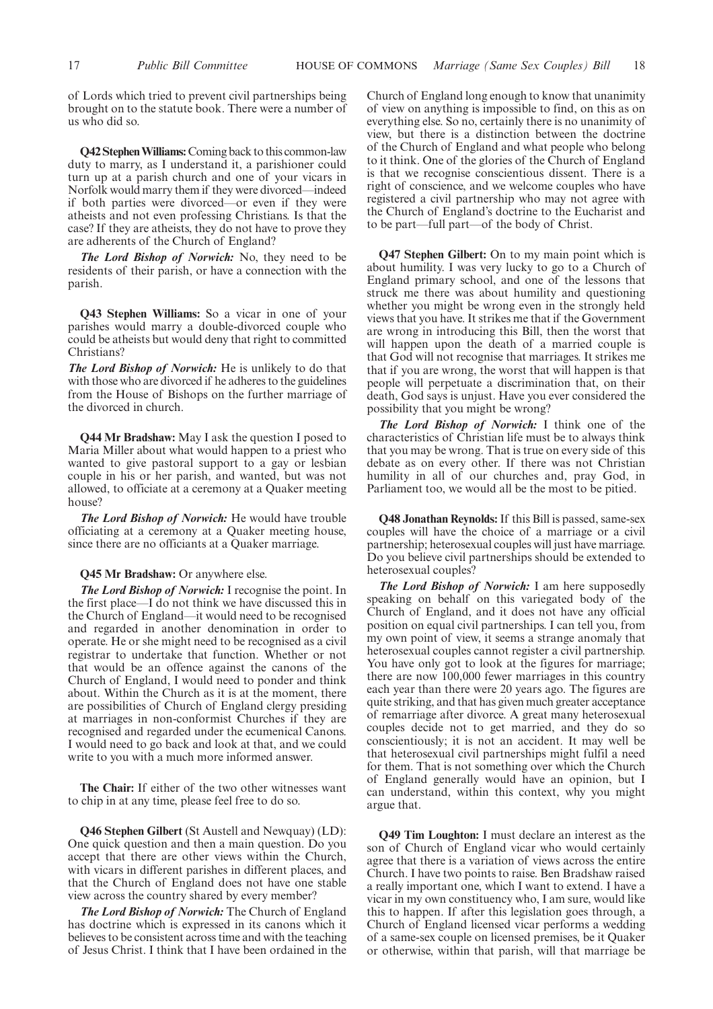of Lords which tried to prevent civil partnerships being brought on to the statute book. There were a number of us who did so.

**Q42 StephenWilliams:**Coming back to this common-law duty to marry, as I understand it, a parishioner could turn up at a parish church and one of your vicars in Norfolk would marry them if they were divorced—indeed if both parties were divorced—or even if they were atheists and not even professing Christians. Is that the case? If they are atheists, they do not have to prove they are adherents of the Church of England?

*The Lord Bishop of Norwich:* No, they need to be residents of their parish, or have a connection with the parish.

**Q43 Stephen Williams:** So a vicar in one of your parishes would marry a double-divorced couple who could be atheists but would deny that right to committed Christians?

*The Lord Bishop of Norwich:* He is unlikely to do that with those who are divorced if he adheres to the guidelines from the House of Bishops on the further marriage of the divorced in church.

**Q44 Mr Bradshaw:** May I ask the question I posed to Maria Miller about what would happen to a priest who wanted to give pastoral support to a gay or lesbian couple in his or her parish, and wanted, but was not allowed, to officiate at a ceremony at a Quaker meeting house?

*The Lord Bishop of Norwich:* He would have trouble officiating at a ceremony at a Quaker meeting house, since there are no officiants at a Quaker marriage.

**Q45 Mr Bradshaw:** Or anywhere else.

*The Lord Bishop of Norwich:* I recognise the point. In the first place—I do not think we have discussed this in the Church of England—it would need to be recognised and regarded in another denomination in order to operate. He or she might need to be recognised as a civil registrar to undertake that function. Whether or not that would be an offence against the canons of the Church of England, I would need to ponder and think about. Within the Church as it is at the moment, there are possibilities of Church of England clergy presiding at marriages in non-conformist Churches if they are recognised and regarded under the ecumenical Canons. I would need to go back and look at that, and we could write to you with a much more informed answer.

**The Chair:** If either of the two other witnesses want to chip in at any time, please feel free to do so.

**Q46 Stephen Gilbert** (St Austell and Newquay) (LD): One quick question and then a main question. Do you accept that there are other views within the Church, with vicars in different parishes in different places, and that the Church of England does not have one stable view across the country shared by every member?

*The Lord Bishop of Norwich:* The Church of England has doctrine which is expressed in its canons which it believes to be consistent across time and with the teaching of Jesus Christ. I think that I have been ordained in the Church of England long enough to know that unanimity of view on anything is impossible to find, on this as on everything else. So no, certainly there is no unanimity of view, but there is a distinction between the doctrine of the Church of England and what people who belong to it think. One of the glories of the Church of England is that we recognise conscientious dissent. There is a right of conscience, and we welcome couples who have registered a civil partnership who may not agree with the Church of England's doctrine to the Eucharist and to be part—full part—of the body of Christ.

**Q47 Stephen Gilbert:** On to my main point which is about humility. I was very lucky to go to a Church of England primary school, and one of the lessons that struck me there was about humility and questioning whether you might be wrong even in the strongly held views that you have. It strikes me that if the Government are wrong in introducing this Bill, then the worst that will happen upon the death of a married couple is that God will not recognise that marriages. It strikes me that if you are wrong, the worst that will happen is that people will perpetuate a discrimination that, on their death, God says is unjust. Have you ever considered the possibility that you might be wrong?

*The Lord Bishop of Norwich:* I think one of the characteristics of Christian life must be to always think that you may be wrong. That is true on every side of this debate as on every other. If there was not Christian humility in all of our churches and, pray God, in Parliament too, we would all be the most to be pitied.

**Q48 Jonathan Reynolds:**If this Bill is passed, same-sex couples will have the choice of a marriage or a civil partnership; heterosexual couples will just have marriage. Do you believe civil partnerships should be extended to heterosexual couples?

*The Lord Bishop of Norwich:* I am here supposedly speaking on behalf on this variegated body of the Church of England, and it does not have any official position on equal civil partnerships. I can tell you, from my own point of view, it seems a strange anomaly that heterosexual couples cannot register a civil partnership. You have only got to look at the figures for marriage; there are now 100,000 fewer marriages in this country each year than there were 20 years ago. The figures are quite striking, and that has given much greater acceptance of remarriage after divorce. A great many heterosexual couples decide not to get married, and they do so conscientiously; it is not an accident. It may well be that heterosexual civil partnerships might fulfil a need for them. That is not something over which the Church of England generally would have an opinion, but I can understand, within this context, why you might argue that.

**Q49 Tim Loughton:** I must declare an interest as the son of Church of England vicar who would certainly agree that there is a variation of views across the entire Church. I have two points to raise. Ben Bradshaw raised a really important one, which I want to extend. I have a vicar in my own constituency who, I am sure, would like this to happen. If after this legislation goes through, a Church of England licensed vicar performs a wedding of a same-sex couple on licensed premises, be it Quaker or otherwise, within that parish, will that marriage be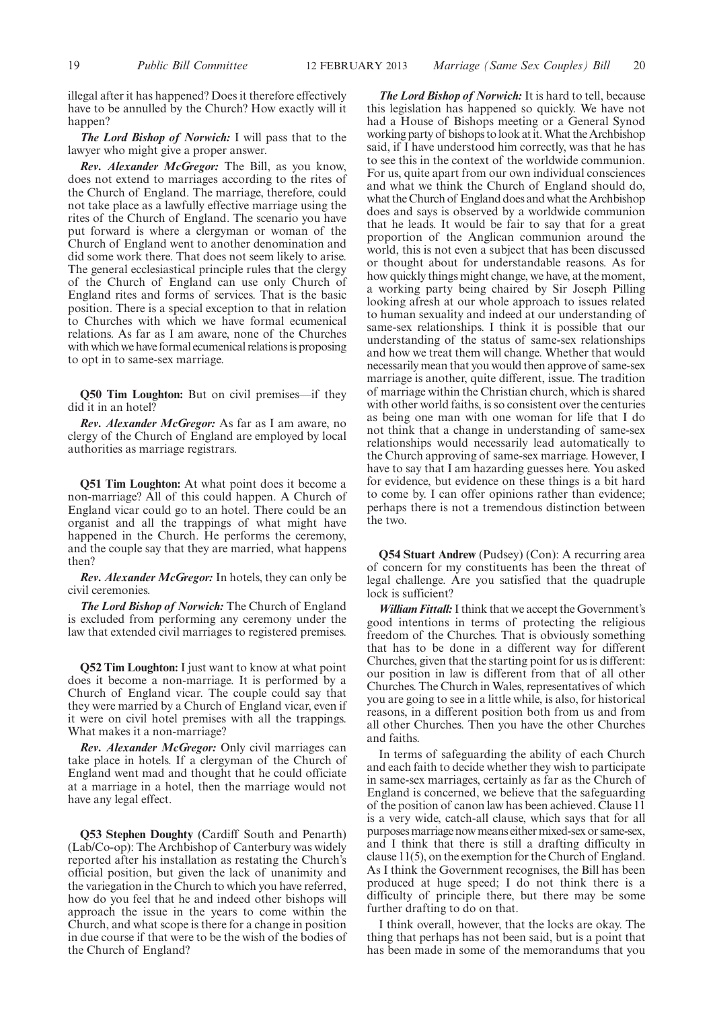illegal after it has happened? Does it therefore effectively have to be annulled by the Church? How exactly will it happen?

*The Lord Bishop of Norwich:* I will pass that to the lawyer who might give a proper answer.

*Rev. Alexander McGregor:* The Bill, as you know, does not extend to marriages according to the rites of the Church of England. The marriage, therefore, could not take place as a lawfully effective marriage using the rites of the Church of England. The scenario you have put forward is where a clergyman or woman of the Church of England went to another denomination and did some work there. That does not seem likely to arise. The general ecclesiastical principle rules that the clergy of the Church of England can use only Church of England rites and forms of services. That is the basic position. There is a special exception to that in relation to Churches with which we have formal ecumenical relations. As far as I am aware, none of the Churches with which we have formal ecumenical relations is proposing to opt in to same-sex marriage.

**Q50 Tim Loughton:** But on civil premises—if they did it in an hotel?

*Rev. Alexander McGregor:* As far as I am aware, no clergy of the Church of England are employed by local authorities as marriage registrars.

**Q51 Tim Loughton:** At what point does it become a non-marriage? All of this could happen. A Church of England vicar could go to an hotel. There could be an organist and all the trappings of what might have happened in the Church. He performs the ceremony, and the couple say that they are married, what happens then?

*Rev. Alexander McGregor:* In hotels, they can only be civil ceremonies.

*The Lord Bishop of Norwich:* The Church of England is excluded from performing any ceremony under the law that extended civil marriages to registered premises.

**Q52 Tim Loughton:** I just want to know at what point does it become a non-marriage. It is performed by a Church of England vicar. The couple could say that they were married by a Church of England vicar, even if it were on civil hotel premises with all the trappings. What makes it a non-marriage?

*Rev. Alexander McGregor:* Only civil marriages can take place in hotels. If a clergyman of the Church of England went mad and thought that he could officiate at a marriage in a hotel, then the marriage would not have any legal effect.

**Q53 Stephen Doughty** (Cardiff South and Penarth) (Lab/Co-op): The Archbishop of Canterbury was widely reported after his installation as restating the Church's official position, but given the lack of unanimity and the variegation in the Church to which you have referred, how do you feel that he and indeed other bishops will approach the issue in the years to come within the Church, and what scope is there for a change in position in due course if that were to be the wish of the bodies of the Church of England?

*The Lord Bishop of Norwich:* It is hard to tell, because this legislation has happened so quickly. We have not had a House of Bishops meeting or a General Synod working party of bishops to look at it.What the Archbishop said, if I have understood him correctly, was that he has to see this in the context of the worldwide communion. For us, quite apart from our own individual consciences and what we think the Church of England should do, what the Church of England does and what the Archbishop does and says is observed by a worldwide communion that he leads. It would be fair to say that for a great proportion of the Anglican communion around the world, this is not even a subject that has been discussed or thought about for understandable reasons. As for how quickly things might change, we have, at the moment, a working party being chaired by Sir Joseph Pilling looking afresh at our whole approach to issues related to human sexuality and indeed at our understanding of same-sex relationships. I think it is possible that our understanding of the status of same-sex relationships and how we treat them will change. Whether that would necessarily mean that you would then approve of same-sex marriage is another, quite different, issue. The tradition of marriage within the Christian church, which is shared with other world faiths, is so consistent over the centuries as being one man with one woman for life that I do not think that a change in understanding of same-sex relationships would necessarily lead automatically to the Church approving of same-sex marriage. However, I have to say that I am hazarding guesses here. You asked for evidence, but evidence on these things is a bit hard to come by. I can offer opinions rather than evidence; perhaps there is not a tremendous distinction between the two.

**Q54 Stuart Andrew** (Pudsey) (Con): A recurring area of concern for my constituents has been the threat of legal challenge. Are you satisfied that the quadruple lock is sufficient?

*William Fittall:*I think that we accept the Government's good intentions in terms of protecting the religious freedom of the Churches. That is obviously something that has to be done in a different way for different Churches, given that the starting point for us is different: our position in law is different from that of all other Churches. The Church in Wales, representatives of which you are going to see in a little while, is also, for historical reasons, in a different position both from us and from all other Churches. Then you have the other Churches and faiths.

In terms of safeguarding the ability of each Church and each faith to decide whether they wish to participate in same-sex marriages, certainly as far as the Church of England is concerned, we believe that the safeguarding of the position of canon law has been achieved. Clause 11 is a very wide, catch-all clause, which says that for all purposes marriage now means either mixed-sex or same-sex, and I think that there is still a drafting difficulty in clause 11(5), on the exemption for the Church of England. As I think the Government recognises, the Bill has been produced at huge speed; I do not think there is a difficulty of principle there, but there may be some further drafting to do on that.

I think overall, however, that the locks are okay. The thing that perhaps has not been said, but is a point that has been made in some of the memorandums that you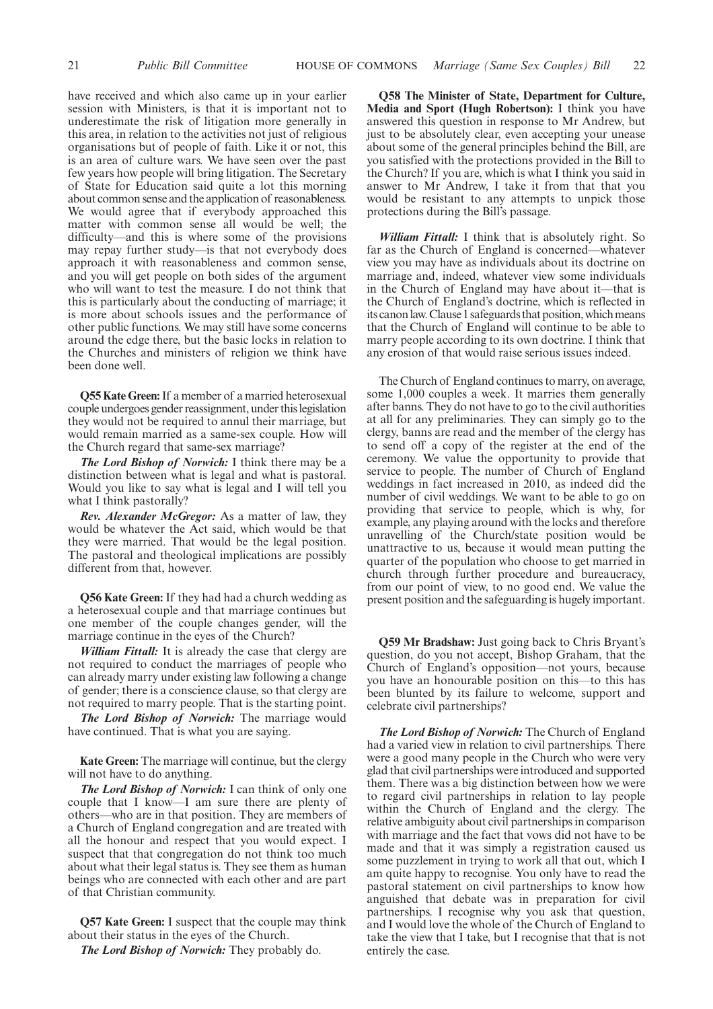have received and which also came up in your earlier session with Ministers, is that it is important not to underestimate the risk of litigation more generally in this area, in relation to the activities not just of religious organisations but of people of faith. Like it or not, this is an area of culture wars. We have seen over the past few years how people will bring litigation. The Secretary of State for Education said quite a lot this morning about common sense and the application of reasonableness. We would agree that if everybody approached this matter with common sense all would be well; the difficulty—and this is where some of the provisions may repay further study—is that not everybody does approach it with reasonableness and common sense, and you will get people on both sides of the argument who will want to test the measure. I do not think that this is particularly about the conducting of marriage; it is more about schools issues and the performance of other public functions. We may still have some concerns around the edge there, but the basic locks in relation to the Churches and ministers of religion we think have been done well.

**Q55 Kate Green:**If a member of a married heterosexual couple undergoes gender reassignment, under thislegislation they would not be required to annul their marriage, but would remain married as a same-sex couple. How will the Church regard that same-sex marriage?

*The Lord Bishop of Norwich:* I think there may be a distinction between what is legal and what is pastoral. Would you like to say what is legal and I will tell you what I think pastorally?

*Rev. Alexander McGregor:* As a matter of law, they would be whatever the Act said, which would be that they were married. That would be the legal position. The pastoral and theological implications are possibly different from that, however.

**Q56 Kate Green:** If they had had a church wedding as a heterosexual couple and that marriage continues but one member of the couple changes gender, will the marriage continue in the eyes of the Church?

*William Fittall:* It is already the case that clergy are not required to conduct the marriages of people who can already marry under existing law following a change of gender; there is a conscience clause, so that clergy are not required to marry people. That is the starting point.

*The Lord Bishop of Norwich:* The marriage would have continued. That is what you are saying.

**Kate Green:** The marriage will continue, but the clergy will not have to do anything.

*The Lord Bishop of Norwich:* I can think of only one couple that I know—I am sure there are plenty of others—who are in that position. They are members of a Church of England congregation and are treated with all the honour and respect that you would expect. I suspect that that congregation do not think too much about what their legal status is. They see them as human beings who are connected with each other and are part of that Christian community.

**Q57 Kate Green:** I suspect that the couple may think about their status in the eyes of the Church.

*The Lord Bishop of Norwich:* They probably do.

**Q58 The Minister of State, Department for Culture, Media and Sport (Hugh Robertson):** I think you have answered this question in response to Mr Andrew, but just to be absolutely clear, even accepting your unease about some of the general principles behind the Bill, are you satisfied with the protections provided in the Bill to the Church? If you are, which is what I think you said in answer to Mr Andrew, I take it from that that you would be resistant to any attempts to unpick those protections during the Bill's passage.

*William Fittall:* I think that is absolutely right. So far as the Church of England is concerned—whatever view you may have as individuals about its doctrine on marriage and, indeed, whatever view some individuals in the Church of England may have about it—that is the Church of England's doctrine, which is reflected in its canon law. Clause 1 safeguards that position, which means that the Church of England will continue to be able to marry people according to its own doctrine. I think that any erosion of that would raise serious issues indeed.

The Church of England continues to marry, on average, some 1,000 couples a week. It marries them generally after banns. They do not have to go to the civil authorities at all for any preliminaries. They can simply go to the clergy, banns are read and the member of the clergy has to send off a copy of the register at the end of the ceremony. We value the opportunity to provide that service to people. The number of Church of England weddings in fact increased in 2010, as indeed did the number of civil weddings. We want to be able to go on providing that service to people, which is why, for example, any playing around with the locks and therefore unravelling of the Church/state position would be unattractive to us, because it would mean putting the quarter of the population who choose to get married in church through further procedure and bureaucracy, from our point of view, to no good end. We value the present position and the safeguarding is hugely important.

**Q59 Mr Bradshaw:** Just going back to Chris Bryant's question, do you not accept, Bishop Graham, that the Church of England's opposition—not yours, because you have an honourable position on this—to this has been blunted by its failure to welcome, support and celebrate civil partnerships?

*The Lord Bishop of Norwich:* The Church of England had a varied view in relation to civil partnerships. There were a good many people in the Church who were very glad that civil partnerships were introduced and supported them. There was a big distinction between how we were to regard civil partnerships in relation to lay people within the Church of England and the clergy. The relative ambiguity about civil partnerships in comparison with marriage and the fact that vows did not have to be made and that it was simply a registration caused us some puzzlement in trying to work all that out, which I am quite happy to recognise. You only have to read the pastoral statement on civil partnerships to know how anguished that debate was in preparation for civil partnerships. I recognise why you ask that question, and I would love the whole of the Church of England to take the view that I take, but I recognise that that is not entirely the case.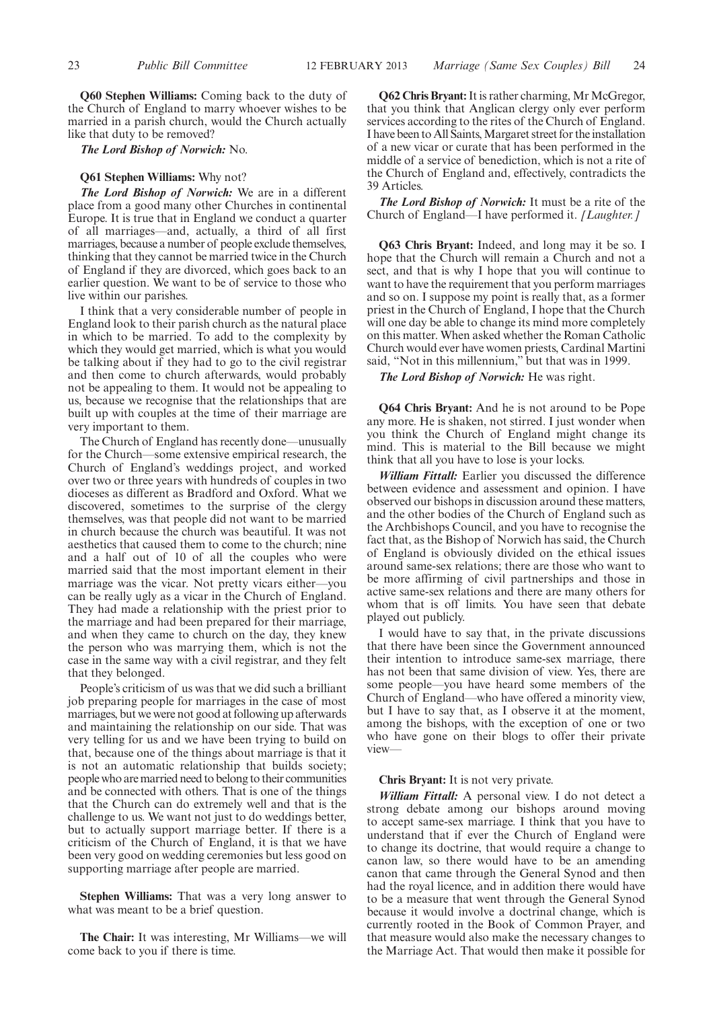**Q60 Stephen Williams:** Coming back to the duty of the Church of England to marry whoever wishes to be married in a parish church, would the Church actually like that duty to be removed?

*The Lord Bishop of Norwich:* No.

#### **Q61 Stephen Williams:** Why not?

*The Lord Bishop of Norwich:* We are in a different place from a good many other Churches in continental Europe. It is true that in England we conduct a quarter of all marriages—and, actually, a third of all first marriages, because a number of people exclude themselves, thinking that they cannot be married twice in the Church of England if they are divorced, which goes back to an earlier question. We want to be of service to those who live within our parishes.

I think that a very considerable number of people in England look to their parish church as the natural place in which to be married. To add to the complexity by which they would get married, which is what you would be talking about if they had to go to the civil registrar and then come to church afterwards, would probably not be appealing to them. It would not be appealing to us, because we recognise that the relationships that are built up with couples at the time of their marriage are very important to them.

The Church of England has recently done—unusually for the Church—some extensive empirical research, the Church of England's weddings project, and worked over two or three years with hundreds of couples in two dioceses as different as Bradford and Oxford. What we discovered, sometimes to the surprise of the clergy themselves, was that people did not want to be married in church because the church was beautiful. It was not aesthetics that caused them to come to the church; nine and a half out of 10 of all the couples who were married said that the most important element in their marriage was the vicar. Not pretty vicars either—you can be really ugly as a vicar in the Church of England. They had made a relationship with the priest prior to the marriage and had been prepared for their marriage, and when they came to church on the day, they knew the person who was marrying them, which is not the case in the same way with a civil registrar, and they felt that they belonged.

People's criticism of us was that we did such a brilliant job preparing people for marriages in the case of most marriages, but we were not good at following up afterwards and maintaining the relationship on our side. That was very telling for us and we have been trying to build on that, because one of the things about marriage is that it is not an automatic relationship that builds society; people who are married need to belong to their communities and be connected with others. That is one of the things that the Church can do extremely well and that is the challenge to us. We want not just to do weddings better, but to actually support marriage better. If there is a criticism of the Church of England, it is that we have been very good on wedding ceremonies but less good on supporting marriage after people are married.

**Stephen Williams:** That was a very long answer to what was meant to be a brief question.

**The Chair:** It was interesting, Mr Williams—we will come back to you if there is time.

**Q62 Chris Bryant:**It is rather charming, Mr McGregor, that you think that Anglican clergy only ever perform services according to the rites of the Church of England. I have been to All Saints, Margaret street for the installation of a new vicar or curate that has been performed in the middle of a service of benediction, which is not a rite of the Church of England and, effectively, contradicts the 39 Articles.

*The Lord Bishop of Norwich:* It must be a rite of the Church of England—I have performed it. *[Laughter.]*

**Q63 Chris Bryant:** Indeed, and long may it be so. I hope that the Church will remain a Church and not a sect, and that is why I hope that you will continue to want to have the requirement that you perform marriages and so on. I suppose my point is really that, as a former priest in the Church of England, I hope that the Church will one day be able to change its mind more completely on this matter. When asked whether the Roman Catholic Church would ever have women priests, Cardinal Martini said, "Not in this millennium," but that was in 1999.

*The Lord Bishop of Norwich:* He was right.

**Q64 Chris Bryant:** And he is not around to be Pope any more. He is shaken, not stirred. I just wonder when you think the Church of England might change its mind. This is material to the Bill because we might think that all you have to lose is your locks.

*William Fittall:* Earlier you discussed the difference between evidence and assessment and opinion. I have observed our bishops in discussion around these matters, and the other bodies of the Church of England such as the Archbishops Council, and you have to recognise the fact that, as the Bishop of Norwich has said, the Church of England is obviously divided on the ethical issues around same-sex relations; there are those who want to be more affirming of civil partnerships and those in active same-sex relations and there are many others for whom that is off limits. You have seen that debate played out publicly.

I would have to say that, in the private discussions that there have been since the Government announced their intention to introduce same-sex marriage, there has not been that same division of view. Yes, there are some people—you have heard some members of the Church of England—who have offered a minority view, but I have to say that, as I observe it at the moment, among the bishops, with the exception of one or two who have gone on their blogs to offer their private view—

#### **Chris Bryant:** It is not very private.

*William Fittall:* A personal view. I do not detect a strong debate among our bishops around moving to accept same-sex marriage. I think that you have to understand that if ever the Church of England were to change its doctrine, that would require a change to canon law, so there would have to be an amending canon that came through the General Synod and then had the royal licence, and in addition there would have to be a measure that went through the General Synod because it would involve a doctrinal change, which is currently rooted in the Book of Common Prayer, and that measure would also make the necessary changes to the Marriage Act. That would then make it possible for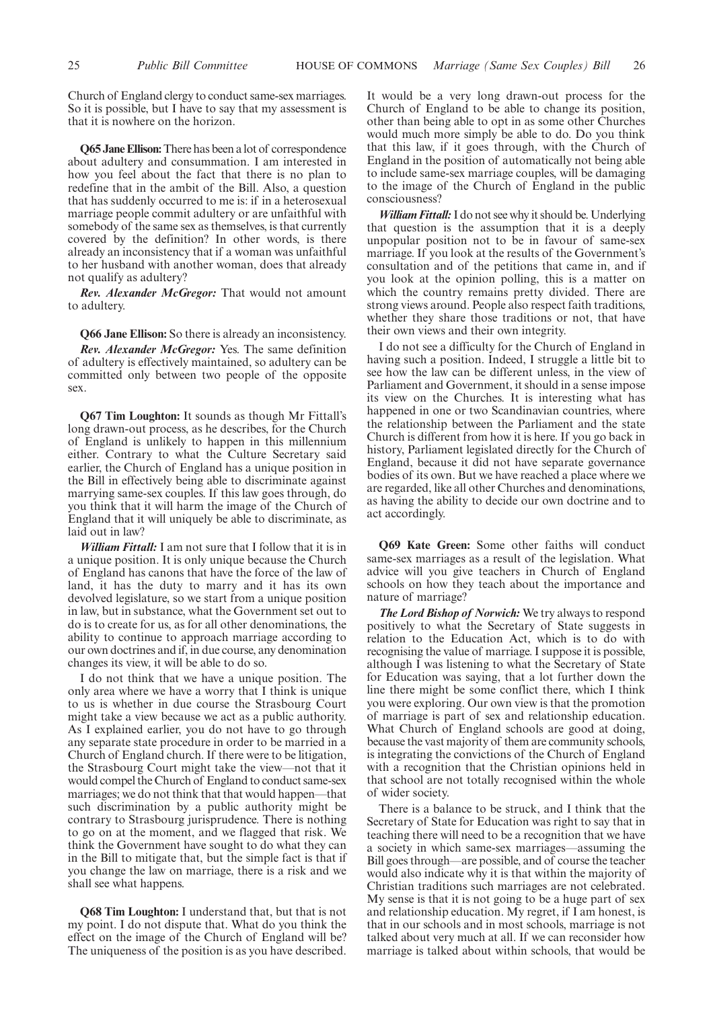Church of England clergy to conduct same-sex marriages. So it is possible, but I have to say that my assessment is that it is nowhere on the horizon.

**Q65 Jane Ellison:**There has been a lot of correspondence about adultery and consummation. I am interested in how you feel about the fact that there is no plan to redefine that in the ambit of the Bill. Also, a question that has suddenly occurred to me is: if in a heterosexual marriage people commit adultery or are unfaithful with somebody of the same sex as themselves, is that currently covered by the definition? In other words, is there already an inconsistency that if a woman was unfaithful to her husband with another woman, does that already not qualify as adultery?

*Rev. Alexander McGregor:* That would not amount to adultery.

**Q66 Jane Ellison:** So there is already an inconsistency.

*Rev. Alexander McGregor:* Yes. The same definition of adultery is effectively maintained, so adultery can be committed only between two people of the opposite sex.

**Q67 Tim Loughton:** It sounds as though Mr Fittall's long drawn-out process, as he describes, for the Church of England is unlikely to happen in this millennium either. Contrary to what the Culture Secretary said earlier, the Church of England has a unique position in the Bill in effectively being able to discriminate against marrying same-sex couples. If this law goes through, do you think that it will harm the image of the Church of England that it will uniquely be able to discriminate, as laid out in law?

*William Fittall:* I am not sure that I follow that it is in a unique position. It is only unique because the Church of England has canons that have the force of the law of land, it has the duty to marry and it has its own devolved legislature, so we start from a unique position in law, but in substance, what the Government set out to do is to create for us, as for all other denominations, the ability to continue to approach marriage according to our own doctrines and if, in due course, any denomination changes its view, it will be able to do so.

I do not think that we have a unique position. The only area where we have a worry that I think is unique to us is whether in due course the Strasbourg Court might take a view because we act as a public authority. As I explained earlier, you do not have to go through any separate state procedure in order to be married in a Church of England church. If there were to be litigation, the Strasbourg Court might take the view—not that it would compel the Church of England to conduct same-sex marriages; we do not think that that would happen—that such discrimination by a public authority might be contrary to Strasbourg jurisprudence. There is nothing to go on at the moment, and we flagged that risk. We think the Government have sought to do what they can in the Bill to mitigate that, but the simple fact is that if you change the law on marriage, there is a risk and we shall see what happens.

**Q68 Tim Loughton:** I understand that, but that is not my point. I do not dispute that. What do you think the effect on the image of the Church of England will be? The uniqueness of the position is as you have described. It would be a very long drawn-out process for the Church of England to be able to change its position, other than being able to opt in as some other Churches would much more simply be able to do. Do you think that this law, if it goes through, with the Church of England in the position of automatically not being able to include same-sex marriage couples, will be damaging to the image of the Church of England in the public consciousness?

*William Fittall:*I do not see why it should be. Underlying that question is the assumption that it is a deeply unpopular position not to be in favour of same-sex marriage. If you look at the results of the Government's consultation and of the petitions that came in, and if you look at the opinion polling, this is a matter on which the country remains pretty divided. There are strong views around. People also respect faith traditions, whether they share those traditions or not, that have their own views and their own integrity.

I do not see a difficulty for the Church of England in having such a position. Indeed, I struggle a little bit to see how the law can be different unless, in the view of Parliament and Government, it should in a sense impose its view on the Churches. It is interesting what has happened in one or two Scandinavian countries, where the relationship between the Parliament and the state Church is different from how it is here. If you go back in history, Parliament legislated directly for the Church of England, because it did not have separate governance bodies of its own. But we have reached a place where we are regarded, like all other Churches and denominations, as having the ability to decide our own doctrine and to act accordingly.

**Q69 Kate Green:** Some other faiths will conduct same-sex marriages as a result of the legislation. What advice will you give teachers in Church of England schools on how they teach about the importance and nature of marriage?

*The Lord Bishop of Norwich:* We try always to respond positively to what the Secretary of State suggests in relation to the Education Act, which is to do with recognising the value of marriage. I suppose it is possible, although I was listening to what the Secretary of State for Education was saying, that a lot further down the line there might be some conflict there, which I think you were exploring. Our own view is that the promotion of marriage is part of sex and relationship education. What Church of England schools are good at doing, because the vast majority of them are community schools, is integrating the convictions of the Church of England with a recognition that the Christian opinions held in that school are not totally recognised within the whole of wider society.

There is a balance to be struck, and I think that the Secretary of State for Education was right to say that in teaching there will need to be a recognition that we have a society in which same-sex marriages—assuming the Bill goes through—are possible, and of course the teacher would also indicate why it is that within the majority of Christian traditions such marriages are not celebrated. My sense is that it is not going to be a huge part of sex and relationship education. My regret, if I am honest, is that in our schools and in most schools, marriage is not talked about very much at all. If we can reconsider how marriage is talked about within schools, that would be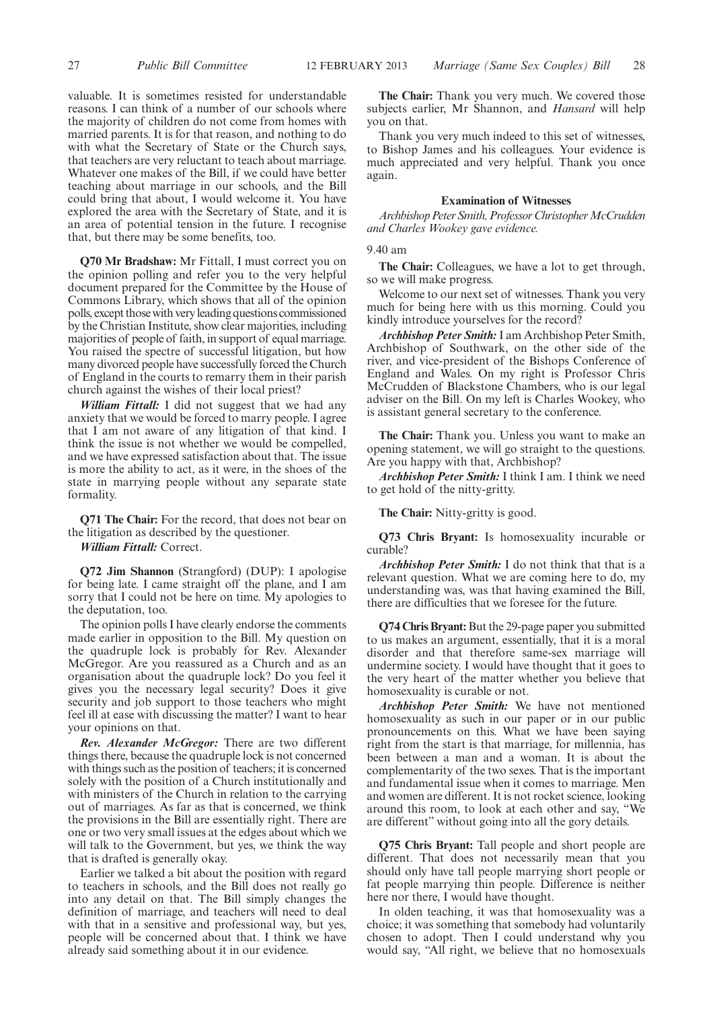valuable. It is sometimes resisted for understandable reasons. I can think of a number of our schools where the majority of children do not come from homes with married parents. It is for that reason, and nothing to do with what the Secretary of State or the Church says, that teachers are very reluctant to teach about marriage. Whatever one makes of the Bill, if we could have better teaching about marriage in our schools, and the Bill could bring that about, I would welcome it. You have explored the area with the Secretary of State, and it is an area of potential tension in the future. I recognise that, but there may be some benefits, too.

**Q70 Mr Bradshaw:** Mr Fittall, I must correct you on the opinion polling and refer you to the very helpful document prepared for the Committee by the House of Commons Library, which shows that all of the opinion polls, except those with veryleading questions commissioned by the Christian Institute, show clear majorities, including majorities of people of faith, in support of equal marriage. You raised the spectre of successful litigation, but how many divorced people have successfully forced the Church of England in the courts to remarry them in their parish church against the wishes of their local priest?

*William Fittall:* I did not suggest that we had any anxiety that we would be forced to marry people. I agree that I am not aware of any litigation of that kind. I think the issue is not whether we would be compelled, and we have expressed satisfaction about that. The issue is more the ability to act, as it were, in the shoes of the state in marrying people without any separate state formality.

**Q71 The Chair:** For the record, that does not bear on the litigation as described by the questioner.

*William Fittall:* Correct.

**Q72 Jim Shannon** (Strangford) (DUP): I apologise for being late. I came straight off the plane, and I am sorry that I could not be here on time. My apologies to the deputation, too.

The opinion polls I have clearly endorse the comments made earlier in opposition to the Bill. My question on the quadruple lock is probably for Rev. Alexander McGregor. Are you reassured as a Church and as an organisation about the quadruple lock? Do you feel it gives you the necessary legal security? Does it give security and job support to those teachers who might feel ill at ease with discussing the matter? I want to hear your opinions on that.

*Rev. Alexander McGregor:* There are two different things there, because the quadruple lock is not concerned with things such as the position of teachers; it is concerned solely with the position of a Church institutionally and with ministers of the Church in relation to the carrying out of marriages. As far as that is concerned, we think the provisions in the Bill are essentially right. There are one or two very small issues at the edges about which we will talk to the Government, but yes, we think the way that is drafted is generally okay.

Earlier we talked a bit about the position with regard to teachers in schools, and the Bill does not really go into any detail on that. The Bill simply changes the definition of marriage, and teachers will need to deal with that in a sensitive and professional way, but yes, people will be concerned about that. I think we have already said something about it in our evidence.

**The Chair:** Thank you very much. We covered those subjects earlier, Mr Shannon, and *Hansard* will help you on that.

Thank you very much indeed to this set of witnesses, to Bishop James and his colleagues. Your evidence is much appreciated and very helpful. Thank you once again.

#### **Examination of Witnesses**

*ArchbishopPeterSmith,ProfessorChristopherMcCrudden and Charles Wookey gave evidence.*

#### 9.40 am

**The Chair:** Colleagues, we have a lot to get through, so we will make progress.

Welcome to our next set of witnesses. Thank you very much for being here with us this morning. Could you kindly introduce yourselves for the record?

*Archbishop Peter Smith:*I am Archbishop Peter Smith, Archbishop of Southwark, on the other side of the river, and vice-president of the Bishops Conference of England and Wales. On my right is Professor Chris McCrudden of Blackstone Chambers, who is our legal adviser on the Bill. On my left is Charles Wookey, who is assistant general secretary to the conference.

**The Chair:** Thank you. Unless you want to make an opening statement, we will go straight to the questions. Are you happy with that, Archbishop?

*Archbishop Peter Smith:* I think I am. I think we need to get hold of the nitty-gritty.

**The Chair:** Nitty-gritty is good.

**Q73 Chris Bryant:** Is homosexuality incurable or curable?

*Archbishop Peter Smith:* I do not think that that is a relevant question. What we are coming here to do, my understanding was, was that having examined the Bill, there are difficulties that we foresee for the future.

**Q74 Chris Bryant:**But the 29-page paper you submitted to us makes an argument, essentially, that it is a moral disorder and that therefore same-sex marriage will undermine society. I would have thought that it goes to the very heart of the matter whether you believe that homosexuality is curable or not.

*Archbishop Peter Smith:* We have not mentioned homosexuality as such in our paper or in our public pronouncements on this. What we have been saying right from the start is that marriage, for millennia, has been between a man and a woman. It is about the complementarity of the two sexes. That is the important and fundamental issue when it comes to marriage. Men and women are different. It is not rocket science, looking around this room, to look at each other and say, "We are different" without going into all the gory details.

**Q75 Chris Bryant:** Tall people and short people are different. That does not necessarily mean that you should only have tall people marrying short people or fat people marrying thin people. Difference is neither here nor there, I would have thought.

In olden teaching, it was that homosexuality was a choice; it was something that somebody had voluntarily chosen to adopt. Then I could understand why you would say, "All right, we believe that no homosexuals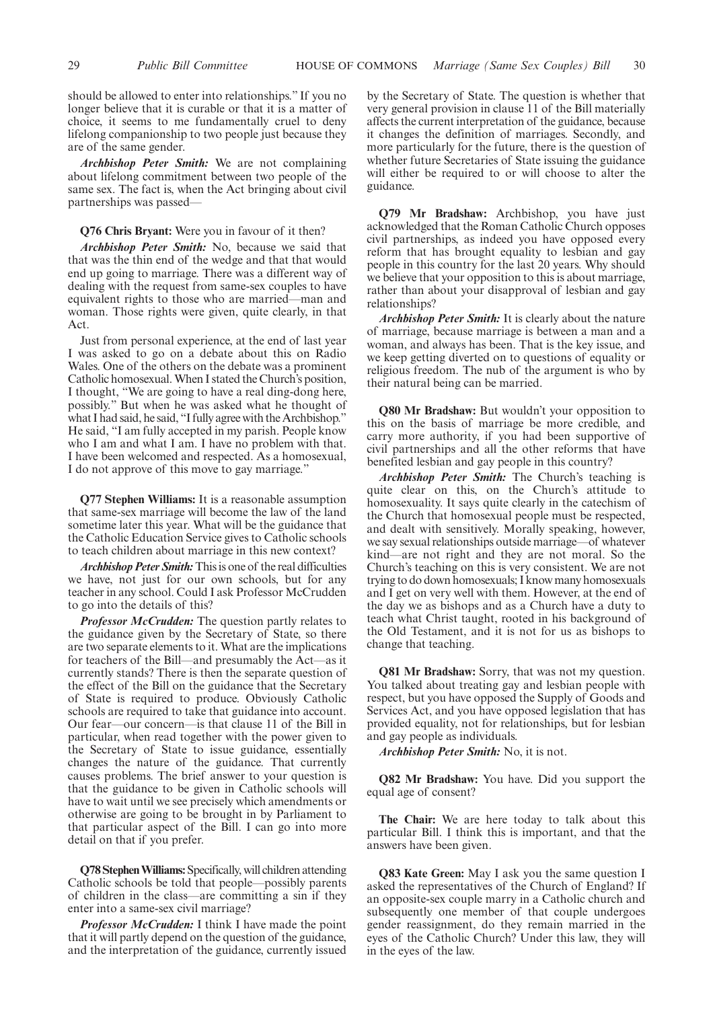should be allowed to enter into relationships." If you no longer believe that it is curable or that it is a matter of choice, it seems to me fundamentally cruel to deny lifelong companionship to two people just because they are of the same gender.

*Archbishop Peter Smith:* We are not complaining about lifelong commitment between two people of the same sex. The fact is, when the Act bringing about civil partnerships was passed—

#### **Q76 Chris Bryant:** Were you in favour of it then?

*Archbishop Peter Smith:* No, because we said that that was the thin end of the wedge and that that would end up going to marriage. There was a different way of dealing with the request from same-sex couples to have equivalent rights to those who are married—man and woman. Those rights were given, quite clearly, in that Act.

Just from personal experience, at the end of last year I was asked to go on a debate about this on Radio Wales. One of the others on the debate was a prominent Catholic homosexual.When I stated the Church's position, I thought, "We are going to have a real ding-dong here, possibly." But when he was asked what he thought of what I had said, he said, "I fully agree with the Archbishop." He said, "I am fully accepted in my parish. People know who I am and what I am. I have no problem with that. I have been welcomed and respected. As a homosexual, I do not approve of this move to gay marriage."

**Q77 Stephen Williams:** It is a reasonable assumption that same-sex marriage will become the law of the land sometime later this year. What will be the guidance that the Catholic Education Service gives to Catholic schools to teach children about marriage in this new context?

*Archbishop Peter Smith:*This is one of the real difficulties we have, not just for our own schools, but for any teacher in any school. Could I ask Professor McCrudden to go into the details of this?

*Professor McCrudden:* The question partly relates to the guidance given by the Secretary of State, so there are two separate elements to it. What are the implications for teachers of the Bill—and presumably the Act—as it currently stands? There is then the separate question of the effect of the Bill on the guidance that the Secretary of State is required to produce. Obviously Catholic schools are required to take that guidance into account. Our fear—our concern—is that clause 11 of the Bill in particular, when read together with the power given to the Secretary of State to issue guidance, essentially changes the nature of the guidance. That currently causes problems. The brief answer to your question is that the guidance to be given in Catholic schools will have to wait until we see precisely which amendments or otherwise are going to be brought in by Parliament to that particular aspect of the Bill. I can go into more detail on that if you prefer.

**Q78 StephenWilliams:**Specifically, will children attending Catholic schools be told that people—possibly parents of children in the class—are committing a sin if they enter into a same-sex civil marriage?

*Professor McCrudden:* I think I have made the point that it will partly depend on the question of the guidance, and the interpretation of the guidance, currently issued by the Secretary of State. The question is whether that very general provision in clause 11 of the Bill materially affects the current interpretation of the guidance, because it changes the definition of marriages. Secondly, and more particularly for the future, there is the question of whether future Secretaries of State issuing the guidance will either be required to or will choose to alter the guidance.

**Q79 Mr Bradshaw:** Archbishop, you have just acknowledged that the Roman Catholic Church opposes civil partnerships, as indeed you have opposed every reform that has brought equality to lesbian and gay people in this country for the last 20 years. Why should we believe that your opposition to this is about marriage, rather than about your disapproval of lesbian and gay relationships?

*Archbishop Peter Smith:* It is clearly about the nature of marriage, because marriage is between a man and a woman, and always has been. That is the key issue, and we keep getting diverted on to questions of equality or religious freedom. The nub of the argument is who by their natural being can be married.

**Q80 Mr Bradshaw:** But wouldn't your opposition to this on the basis of marriage be more credible, and carry more authority, if you had been supportive of civil partnerships and all the other reforms that have benefited lesbian and gay people in this country?

*Archbishop Peter Smith:* The Church's teaching is quite clear on this, on the Church's attitude to homosexuality. It says quite clearly in the catechism of the Church that homosexual people must be respected, and dealt with sensitively. Morally speaking, however, we say sexual relationships outside marriage—of whatever kind—are not right and they are not moral. So the Church's teaching on this is very consistent. We are not trying to do down homosexuals; I know many homosexuals and I get on very well with them. However, at the end of the day we as bishops and as a Church have a duty to teach what Christ taught, rooted in his background of the Old Testament, and it is not for us as bishops to change that teaching.

**Q81 Mr Bradshaw:** Sorry, that was not my question. You talked about treating gay and lesbian people with respect, but you have opposed the Supply of Goods and Services Act, and you have opposed legislation that has provided equality, not for relationships, but for lesbian and gay people as individuals.

*Archbishop Peter Smith:* No, it is not.

**Q82 Mr Bradshaw:** You have. Did you support the equal age of consent?

**The Chair:** We are here today to talk about this particular Bill. I think this is important, and that the answers have been given.

**Q83 Kate Green:** May I ask you the same question I asked the representatives of the Church of England? If an opposite-sex couple marry in a Catholic church and subsequently one member of that couple undergoes gender reassignment, do they remain married in the eyes of the Catholic Church? Under this law, they will in the eyes of the law.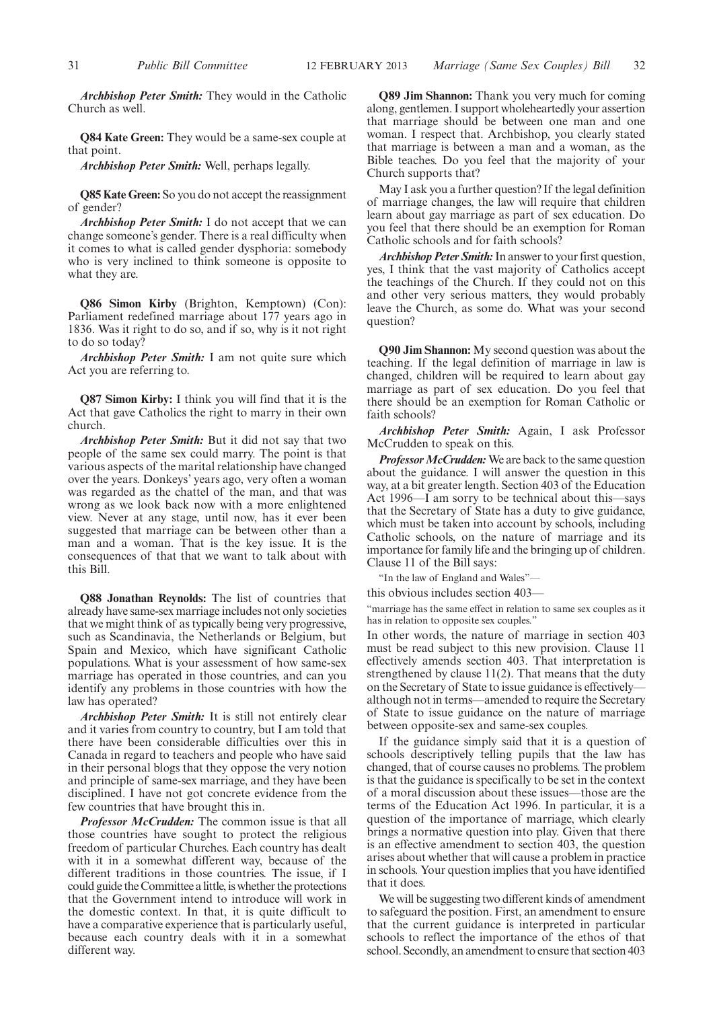*Archbishop Peter Smith:* They would in the Catholic Church as well.

**Q84 Kate Green:** They would be a same-sex couple at that point.

*Archbishop Peter Smith:* Well, perhaps legally.

**Q85 Kate Green:** So you do not accept the reassignment of gender?

*Archbishop Peter Smith:* I do not accept that we can change someone's gender. There is a real difficulty when it comes to what is called gender dysphoria: somebody who is very inclined to think someone is opposite to what they are.

**Q86 Simon Kirby** (Brighton, Kemptown) (Con): Parliament redefined marriage about 177 years ago in 1836. Was it right to do so, and if so, why is it not right to do so today?

*Archbishop Peter Smith:* I am not quite sure which Act you are referring to.

**Q87 Simon Kirby:** I think you will find that it is the Act that gave Catholics the right to marry in their own church.

*Archbishop Peter Smith:* But it did not say that two people of the same sex could marry. The point is that various aspects of the marital relationship have changed over the years. Donkeys' years ago, very often a woman was regarded as the chattel of the man, and that was wrong as we look back now with a more enlightened view. Never at any stage, until now, has it ever been suggested that marriage can be between other than a man and a woman. That is the key issue. It is the consequences of that that we want to talk about with this Bill.

**Q88 Jonathan Reynolds:** The list of countries that already have same-sex marriage includes not only societies that we might think of as typically being very progressive, such as Scandinavia, the Netherlands or Belgium, but Spain and Mexico, which have significant Catholic populations. What is your assessment of how same-sex marriage has operated in those countries, and can you identify any problems in those countries with how the law has operated?

*Archbishop Peter Smith:* It is still not entirely clear and it varies from country to country, but I am told that there have been considerable difficulties over this in Canada in regard to teachers and people who have said in their personal blogs that they oppose the very notion and principle of same-sex marriage, and they have been disciplined. I have not got concrete evidence from the few countries that have brought this in.

*Professor McCrudden:* The common issue is that all those countries have sought to protect the religious freedom of particular Churches. Each country has dealt with it in a somewhat different way, because of the different traditions in those countries. The issue, if I could guide the Committee a little, is whether the protections that the Government intend to introduce will work in the domestic context. In that, it is quite difficult to have a comparative experience that is particularly useful, because each country deals with it in a somewhat different way.

**Q89 Jim Shannon:** Thank you very much for coming along, gentlemen. I support wholeheartedly your assertion that marriage should be between one man and one woman. I respect that. Archbishop, you clearly stated that marriage is between a man and a woman, as the Bible teaches. Do you feel that the majority of your Church supports that?

May I ask you a further question? If the legal definition of marriage changes, the law will require that children learn about gay marriage as part of sex education. Do you feel that there should be an exemption for Roman Catholic schools and for faith schools?

*Archbishop Peter Smith:*In answer to your first question, yes, I think that the vast majority of Catholics accept the teachings of the Church. If they could not on this and other very serious matters, they would probably leave the Church, as some do. What was your second question?

**Q90 Jim Shannon:** My second question was about the teaching. If the legal definition of marriage in law is changed, children will be required to learn about gay marriage as part of sex education. Do you feel that there should be an exemption for Roman Catholic or faith schools?

*Archbishop Peter Smith:* Again, I ask Professor McCrudden to speak on this.

*Professor McCrudden:* We are back to the same question about the guidance. I will answer the question in this way, at a bit greater length. Section 403 of the Education Act 1996—I am sorry to be technical about this—says that the Secretary of State has a duty to give guidance, which must be taken into account by schools, including Catholic schools, on the nature of marriage and its importance for family life and the bringing up of children. Clause 11 of the Bill says:

"In the law of England and Wales"—

this obvious includes section 403—

"marriage has the same effect in relation to same sex couples as it has in relation to opposite sex couples."

In other words, the nature of marriage in section 403 must be read subject to this new provision. Clause 11 effectively amends section 403. That interpretation is strengthened by clause 11(2). That means that the duty on the Secretary of State to issue guidance is effectively although not in terms—amended to require the Secretary of State to issue guidance on the nature of marriage between opposite-sex and same-sex couples.

If the guidance simply said that it is a question of schools descriptively telling pupils that the law has changed, that of course causes no problems. The problem is that the guidance is specifically to be set in the context of a moral discussion about these issues—those are the terms of the Education Act 1996. In particular, it is a question of the importance of marriage, which clearly brings a normative question into play. Given that there is an effective amendment to section 403, the question arises about whether that will cause a problem in practice in schools. Your question implies that you have identified that it does.

We will be suggesting two different kinds of amendment to safeguard the position. First, an amendment to ensure that the current guidance is interpreted in particular schools to reflect the importance of the ethos of that school. Secondly, an amendment to ensure that section 403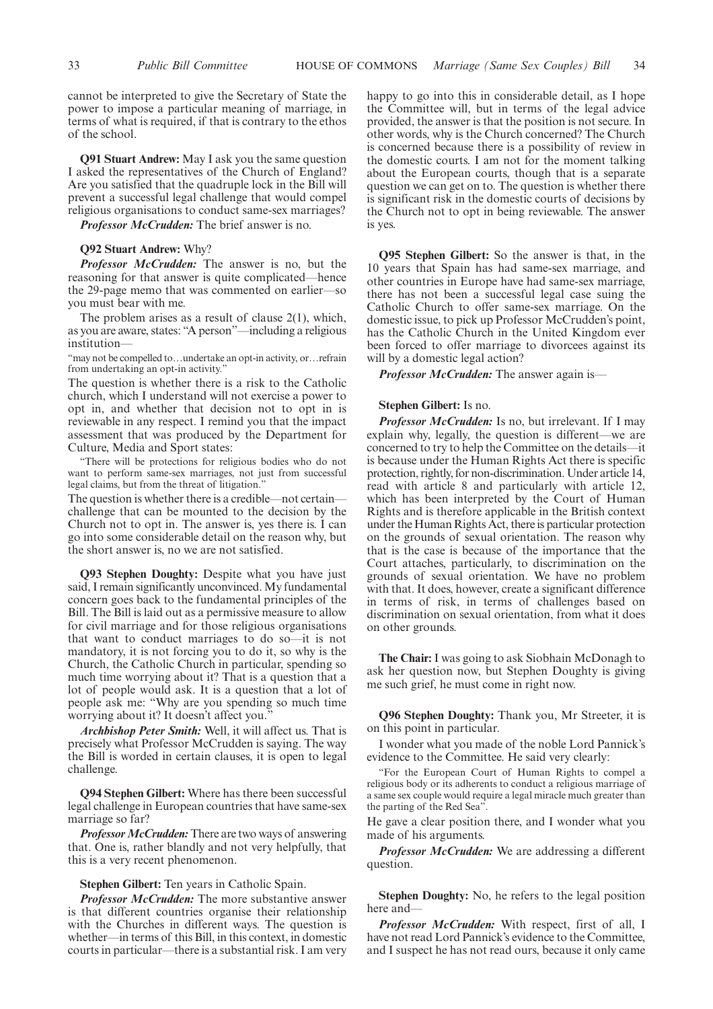cannot be interpreted to give the Secretary of State the power to impose a particular meaning of marriage, in terms of what is required, if that is contrary to the ethos of the school.

**Q91 Stuart Andrew:** May I ask you the same question I asked the representatives of the Church of England? Are you satisfied that the quadruple lock in the Bill will prevent a successful legal challenge that would compel religious organisations to conduct same-sex marriages?

*Professor McCrudden:* The brief answer is no.

#### **Q92 Stuart Andrew:** Why?

*Professor McCrudden:* The answer is no, but the reasoning for that answer is quite complicated—hence the 29-page memo that was commented on earlier—so you must bear with me.

The problem arises as a result of clause 2(1), which, as you are aware, states: "A person"—including a religious institution—

"may not be compelled to…undertake an opt-in activity, or…refrain from undertaking an opt-in activity."

The question is whether there is a risk to the Catholic church, which I understand will not exercise a power to opt in, and whether that decision not to opt in is reviewable in any respect. I remind you that the impact assessment that was produced by the Department for Culture, Media and Sport states:

"There will be protections for religious bodies who do not want to perform same-sex marriages, not just from successful legal claims, but from the threat of litigation."

The question is whether there is a credible—not certain challenge that can be mounted to the decision by the Church not to opt in. The answer is, yes there is. I can go into some considerable detail on the reason why, but the short answer is, no we are not satisfied.

**Q93 Stephen Doughty:** Despite what you have just said, I remain significantly unconvinced. My fundamental concern goes back to the fundamental principles of the Bill. The Bill is laid out as a permissive measure to allow for civil marriage and for those religious organisations that want to conduct marriages to do so—it is not mandatory, it is not forcing you to do it, so why is the Church, the Catholic Church in particular, spending so much time worrying about it? That is a question that a lot of people would ask. It is a question that a lot of people ask me: "Why are you spending so much time worrying about it? It doesn't affect you."

*Archbishop Peter Smith:* Well, it will affect us. That is precisely what Professor McCrudden is saying. The way the Bill is worded in certain clauses, it is open to legal challenge.

**Q94 Stephen Gilbert:** Where has there been successful legal challenge in European countries that have same-sex marriage so far?

*Professor McCrudden:* There are two ways of answering that. One is, rather blandly and not very helpfully, that this is a very recent phenomenon.

#### **Stephen Gilbert:** Ten years in Catholic Spain.

*Professor McCrudden:* The more substantive answer is that different countries organise their relationship with the Churches in different ways. The question is whether—in terms of this Bill, in this context, in domestic courts in particular—there is a substantial risk. I am very happy to go into this in considerable detail, as I hope the Committee will, but in terms of the legal advice provided, the answer is that the position is not secure. In other words, why is the Church concerned? The Church is concerned because there is a possibility of review in the domestic courts. I am not for the moment talking about the European courts, though that is a separate question we can get on to. The question is whether there is significant risk in the domestic courts of decisions by the Church not to opt in being reviewable. The answer is yes.

**Q95 Stephen Gilbert:** So the answer is that, in the 10 years that Spain has had same-sex marriage, and other countries in Europe have had same-sex marriage, there has not been a successful legal case suing the Catholic Church to offer same-sex marriage. On the domestic issue, to pick up Professor McCrudden's point, has the Catholic Church in the United Kingdom ever been forced to offer marriage to divorcees against its will by a domestic legal action?

*Professor McCrudden:* The answer again is—

#### **Stephen Gilbert:** Is no.

*Professor McCrudden:* Is no, but irrelevant. If I may explain why, legally, the question is different—we are concerned to try to help the Committee on the details—it is because under the Human Rights Act there is specific protection, rightly, for non-discrimination. Under article 14, read with article 8 and particularly with article 12, which has been interpreted by the Court of Human Rights and is therefore applicable in the British context under the Human Rights Act, there is particular protection on the grounds of sexual orientation. The reason why that is the case is because of the importance that the Court attaches, particularly, to discrimination on the grounds of sexual orientation. We have no problem with that. It does, however, create a significant difference in terms of risk, in terms of challenges based on discrimination on sexual orientation, from what it does on other grounds.

**The Chair:** I was going to ask Siobhain McDonagh to ask her question now, but Stephen Doughty is giving me such grief, he must come in right now.

**Q96 Stephen Doughty:** Thank you, Mr Streeter, it is on this point in particular.

I wonder what you made of the noble Lord Pannick's evidence to the Committee. He said very clearly:

"For the European Court of Human Rights to compel a religious body or its adherents to conduct a religious marriage of a same sex couple would require a legal miracle much greater than the parting of the Red Sea".

He gave a clear position there, and I wonder what you made of his arguments.

*Professor McCrudden:* We are addressing a different question.

**Stephen Doughty:** No, he refers to the legal position here and—

*Professor McCrudden:* With respect, first of all, I have not read Lord Pannick's evidence to the Committee, and I suspect he has not read ours, because it only came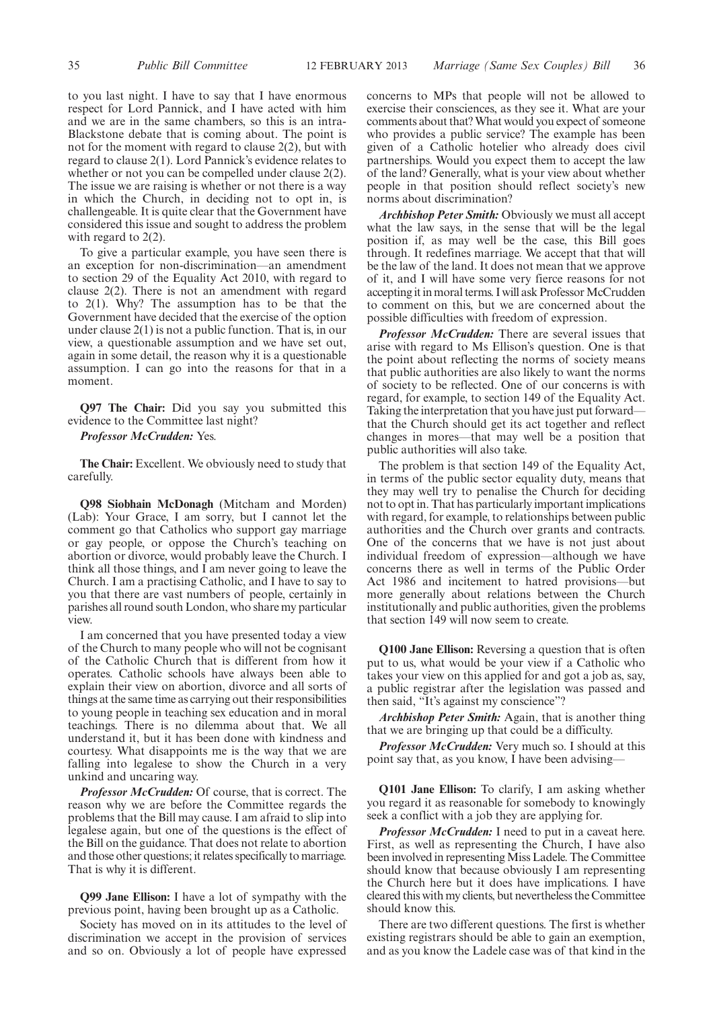to you last night. I have to say that I have enormous respect for Lord Pannick, and I have acted with him and we are in the same chambers, so this is an intra-Blackstone debate that is coming about. The point is not for the moment with regard to clause 2(2), but with regard to clause 2(1). Lord Pannick's evidence relates to whether or not you can be compelled under clause 2(2). The issue we are raising is whether or not there is a way in which the Church, in deciding not to opt in, is challengeable. It is quite clear that the Government have considered this issue and sought to address the problem with regard to 2(2).

To give a particular example, you have seen there is an exception for non-discrimination—an amendment to section 29 of the Equality Act 2010, with regard to clause 2(2). There is not an amendment with regard to 2(1). Why? The assumption has to be that the Government have decided that the exercise of the option under clause 2(1) is not a public function. That is, in our view, a questionable assumption and we have set out, again in some detail, the reason why it is a questionable assumption. I can go into the reasons for that in a moment.

**Q97 The Chair:** Did you say you submitted this evidence to the Committee last night?

*Professor McCrudden:* Yes.

**The Chair:** Excellent. We obviously need to study that carefully.

**Q98 Siobhain McDonagh** (Mitcham and Morden) (Lab): Your Grace, I am sorry, but I cannot let the comment go that Catholics who support gay marriage or gay people, or oppose the Church's teaching on abortion or divorce, would probably leave the Church. I think all those things, and I am never going to leave the Church. I am a practising Catholic, and I have to say to you that there are vast numbers of people, certainly in parishes all round south London, who share my particular view.

I am concerned that you have presented today a view of the Church to many people who will not be cognisant of the Catholic Church that is different from how it operates. Catholic schools have always been able to explain their view on abortion, divorce and all sorts of things at the same time as carrying out their responsibilities to young people in teaching sex education and in moral teachings. There is no dilemma about that. We all understand it, but it has been done with kindness and courtesy. What disappoints me is the way that we are falling into legalese to show the Church in a very unkind and uncaring way.

*Professor McCrudden:* Of course, that is correct. The reason why we are before the Committee regards the problems that the Bill may cause. I am afraid to slip into legalese again, but one of the questions is the effect of the Bill on the guidance. That does not relate to abortion and those other questions; it relates specifically to marriage. That is why it is different.

**Q99 Jane Ellison:** I have a lot of sympathy with the previous point, having been brought up as a Catholic.

Society has moved on in its attitudes to the level of discrimination we accept in the provision of services and so on. Obviously a lot of people have expressed

concerns to MPs that people will not be allowed to exercise their consciences, as they see it. What are your comments about that?What would you expect of someone who provides a public service? The example has been given of a Catholic hotelier who already does civil partnerships. Would you expect them to accept the law of the land? Generally, what is your view about whether people in that position should reflect society's new norms about discrimination?

*Archbishop Peter Smith:* Obviously we must all accept what the law says, in the sense that will be the legal position if, as may well be the case, this Bill goes through. It redefines marriage. We accept that that will be the law of the land. It does not mean that we approve of it, and I will have some very fierce reasons for not accepting it in moral terms. I will ask Professor McCrudden to comment on this, but we are concerned about the possible difficulties with freedom of expression.

*Professor McCrudden:* There are several issues that arise with regard to Ms Ellison's question. One is that the point about reflecting the norms of society means that public authorities are also likely to want the norms of society to be reflected. One of our concerns is with regard, for example, to section 149 of the Equality Act. Taking the interpretation that you have just put forward that the Church should get its act together and reflect changes in mores—that may well be a position that public authorities will also take.

The problem is that section 149 of the Equality Act, in terms of the public sector equality duty, means that they may well try to penalise the Church for deciding not to opt in. That has particularly important implications with regard, for example, to relationships between public authorities and the Church over grants and contracts. One of the concerns that we have is not just about individual freedom of expression—although we have concerns there as well in terms of the Public Order Act 1986 and incitement to hatred provisions—but more generally about relations between the Church institutionally and public authorities, given the problems that section 149 will now seem to create.

**Q100 Jane Ellison:** Reversing a question that is often put to us, what would be your view if a Catholic who takes your view on this applied for and got a job as, say, a public registrar after the legislation was passed and then said, "It's against my conscience"?

*Archbishop Peter Smith:* Again, that is another thing that we are bringing up that could be a difficulty.

*Professor McCrudden:* Very much so. I should at this point say that, as you know, I have been advising—

**Q101 Jane Ellison:** To clarify, I am asking whether you regard it as reasonable for somebody to knowingly seek a conflict with a job they are applying for.

*Professor McCrudden:* I need to put in a caveat here. First, as well as representing the Church, I have also been involved in representing Miss Ladele. The Committee should know that because obviously I am representing the Church here but it does have implications. I have cleared this with my clients, but nevertheless the Committee should know this.

There are two different questions. The first is whether existing registrars should be able to gain an exemption, and as you know the Ladele case was of that kind in the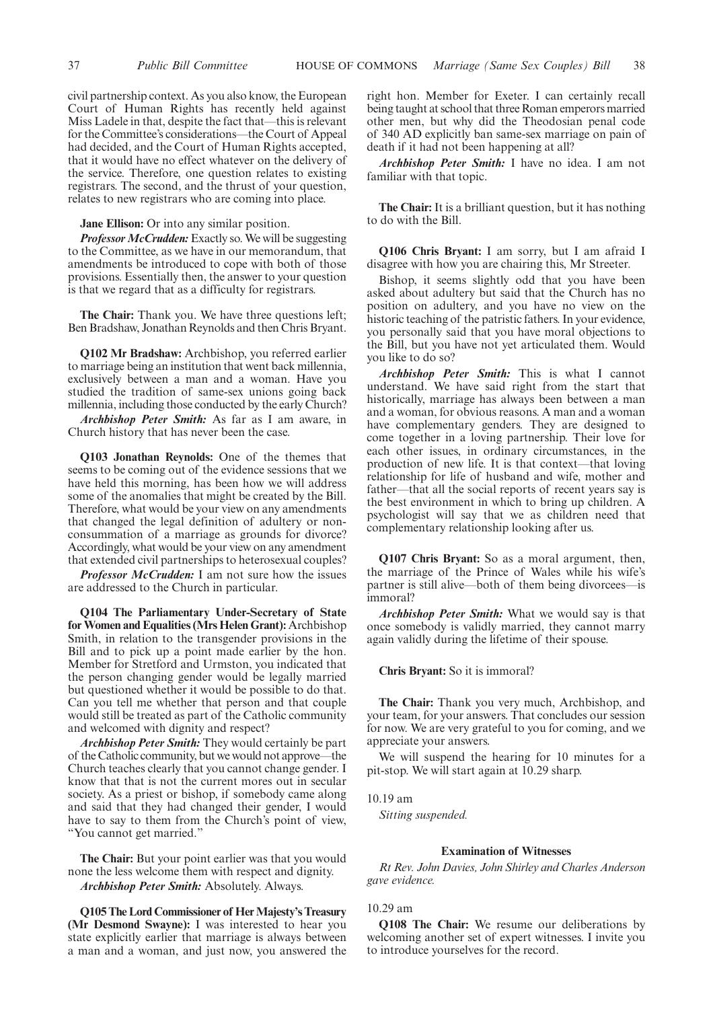civil partnership context. As you also know, the European Court of Human Rights has recently held against Miss Ladele in that, despite the fact that—this is relevant for the Committee's considerations—the Court of Appeal had decided, and the Court of Human Rights accepted, that it would have no effect whatever on the delivery of the service. Therefore, one question relates to existing registrars. The second, and the thrust of your question, relates to new registrars who are coming into place.

**Jane Ellison:** Or into any similar position.

*Professor McCrudden:* Exactly so. We will be suggesting to the Committee, as we have in our memorandum, that amendments be introduced to cope with both of those provisions. Essentially then, the answer to your question is that we regard that as a difficulty for registrars.

**The Chair:** Thank you. We have three questions left; Ben Bradshaw, Jonathan Reynolds and then Chris Bryant.

**Q102 Mr Bradshaw:** Archbishop, you referred earlier to marriage being an institution that went back millennia, exclusively between a man and a woman. Have you studied the tradition of same-sex unions going back millennia, including those conducted by the early Church?

*Archbishop Peter Smith:* As far as I am aware, in Church history that has never been the case.

**Q103 Jonathan Reynolds:** One of the themes that seems to be coming out of the evidence sessions that we have held this morning, has been how we will address some of the anomalies that might be created by the Bill. Therefore, what would be your view on any amendments that changed the legal definition of adultery or nonconsummation of a marriage as grounds for divorce? Accordingly, what would be your view on any amendment that extended civil partnerships to heterosexual couples?

*Professor McCrudden:* I am not sure how the issues are addressed to the Church in particular.

**Q104 The Parliamentary Under-Secretary of State for Women and Equalities (Mrs Helen Grant):** Archbishop Smith, in relation to the transgender provisions in the Bill and to pick up a point made earlier by the hon. Member for Stretford and Urmston, you indicated that the person changing gender would be legally married but questioned whether it would be possible to do that. Can you tell me whether that person and that couple would still be treated as part of the Catholic community and welcomed with dignity and respect?

*Archbishop Peter Smith:* They would certainly be part of the Catholic community, but we would not approve—the Church teaches clearly that you cannot change gender. I know that that is not the current mores out in secular society. As a priest or bishop, if somebody came along and said that they had changed their gender, I would have to say to them from the Church's point of view, "You cannot get married."

**The Chair:** But your point earlier was that you would none the less welcome them with respect and dignity. *Archbishop Peter Smith:* Absolutely. Always.

**Q105 The Lord Commissioner of Her Majesty's Treasury (Mr Desmond Swayne):** I was interested to hear you state explicitly earlier that marriage is always between a man and a woman, and just now, you answered the right hon. Member for Exeter. I can certainly recall being taught at school that three Roman emperors married other men, but why did the Theodosian penal code of 340 AD explicitly ban same-sex marriage on pain of death if it had not been happening at all?

*Archbishop Peter Smith:* I have no idea. I am not familiar with that topic.

**The Chair:** It is a brilliant question, but it has nothing to do with the Bill.

**Q106 Chris Bryant:** I am sorry, but I am afraid I disagree with how you are chairing this, Mr Streeter.

Bishop, it seems slightly odd that you have been asked about adultery but said that the Church has no position on adultery, and you have no view on the historic teaching of the patristic fathers. In your evidence, you personally said that you have moral objections to the Bill, but you have not yet articulated them. Would you like to do so?

*Archbishop Peter Smith:* This is what I cannot understand. We have said right from the start that historically, marriage has always been between a man and a woman, for obvious reasons. A man and a woman have complementary genders. They are designed to come together in a loving partnership. Their love for each other issues, in ordinary circumstances, in the production of new life. It is that context—that loving relationship for life of husband and wife, mother and father—that all the social reports of recent years say is the best environment in which to bring up children. A psychologist will say that we as children need that complementary relationship looking after us.

**Q107 Chris Bryant:** So as a moral argument, then, the marriage of the Prince of Wales while his wife's partner is still alive—both of them being divorcees—is immoral?

*Archbishop Peter Smith:* What we would say is that once somebody is validly married, they cannot marry again validly during the lifetime of their spouse.

**Chris Bryant:** So it is immoral?

**The Chair:** Thank you very much, Archbishop, and your team, for your answers. That concludes our session for now. We are very grateful to you for coming, and we appreciate your answers.

We will suspend the hearing for 10 minutes for a pit-stop. We will start again at 10.29 sharp.

#### 10.19 am

*Sitting suspended.*

#### **Examination of Witnesses**

*Rt Rev. John Davies, John Shirley and Charles Anderson gave evidence.*

#### 10.29 am

**Q108 The Chair:** We resume our deliberations by welcoming another set of expert witnesses. I invite you to introduce yourselves for the record.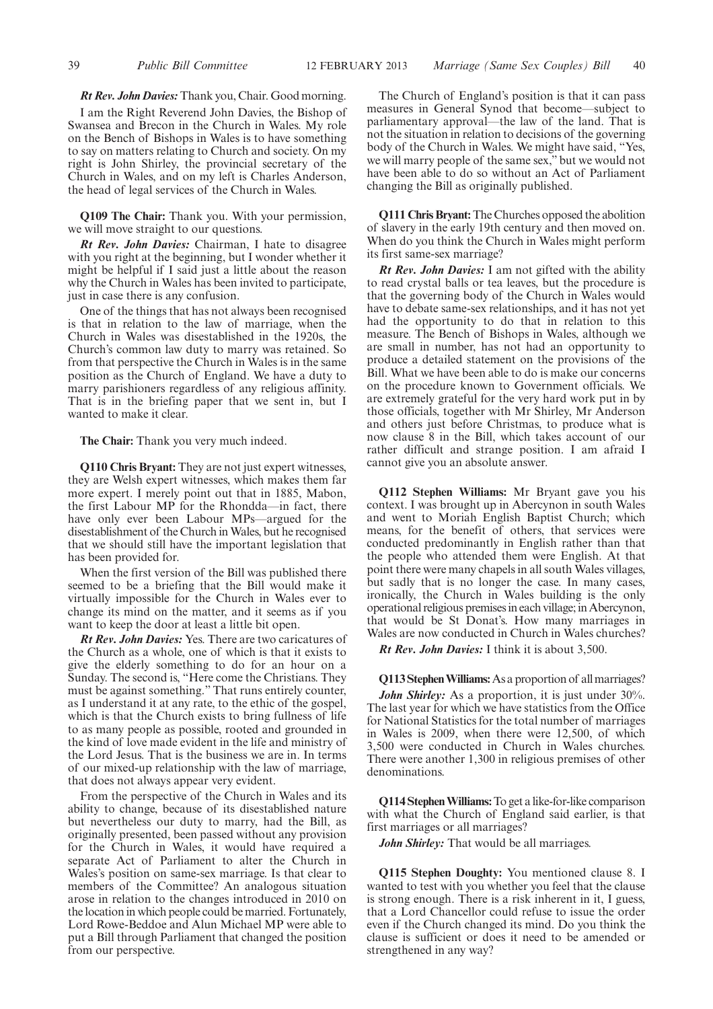#### *Rt Rev. John Davies:*Thank you, Chair. Good morning.

I am the Right Reverend John Davies, the Bishop of Swansea and Brecon in the Church in Wales. My role on the Bench of Bishops in Wales is to have something to say on matters relating to Church and society. On my right is John Shirley, the provincial secretary of the Church in Wales, and on my left is Charles Anderson, the head of legal services of the Church in Wales.

**Q109 The Chair:** Thank you. With your permission, we will move straight to our questions.

*Rt Rev. John Davies:* Chairman, I hate to disagree with you right at the beginning, but I wonder whether it might be helpful if I said just a little about the reason why the Church in Wales has been invited to participate, just in case there is any confusion.

One of the things that has not always been recognised is that in relation to the law of marriage, when the Church in Wales was disestablished in the 1920s, the Church's common law duty to marry was retained. So from that perspective the Church in Wales is in the same position as the Church of England. We have a duty to marry parishioners regardless of any religious affinity. That is in the briefing paper that we sent in, but I wanted to make it clear.

**The Chair:** Thank you very much indeed.

**Q110 Chris Bryant:** They are not just expert witnesses, they are Welsh expert witnesses, which makes them far more expert. I merely point out that in 1885, Mabon, the first Labour MP for the Rhondda—in fact, there have only ever been Labour MPs—argued for the disestablishment of the Church inWales, but he recognised that we should still have the important legislation that has been provided for.

When the first version of the Bill was published there seemed to be a briefing that the Bill would make it virtually impossible for the Church in Wales ever to change its mind on the matter, and it seems as if you want to keep the door at least a little bit open.

*Rt Rev. John Davies:* Yes. There are two caricatures of the Church as a whole, one of which is that it exists to give the elderly something to do for an hour on a Sunday. The second is, "Here come the Christians. They must be against something." That runs entirely counter, as I understand it at any rate, to the ethic of the gospel, which is that the Church exists to bring fullness of life to as many people as possible, rooted and grounded in the kind of love made evident in the life and ministry of the Lord Jesus. That is the business we are in. In terms of our mixed-up relationship with the law of marriage, that does not always appear very evident.

From the perspective of the Church in Wales and its ability to change, because of its disestablished nature but nevertheless our duty to marry, had the Bill, as originally presented, been passed without any provision for the Church in Wales, it would have required a separate Act of Parliament to alter the Church in Wales's position on same-sex marriage. Is that clear to members of the Committee? An analogous situation arose in relation to the changes introduced in 2010 on the location in which people could be married. Fortunately, Lord Rowe-Beddoe and Alun Michael MP were able to put a Bill through Parliament that changed the position from our perspective.

The Church of England's position is that it can pass measures in General Synod that become—subject to parliamentary approval—the law of the land. That is not the situation in relation to decisions of the governing body of the Church in Wales. We might have said, "Yes, we will marry people of the same sex," but we would not have been able to do so without an Act of Parliament changing the Bill as originally published.

**Q111 Chris Bryant:**The Churches opposed the abolition of slavery in the early 19th century and then moved on. When do you think the Church in Wales might perform its first same-sex marriage?

*Rt Rev. John Davies:* I am not gifted with the ability to read crystal balls or tea leaves, but the procedure is that the governing body of the Church in Wales would have to debate same-sex relationships, and it has not yet had the opportunity to do that in relation to this measure. The Bench of Bishops in Wales, although we are small in number, has not had an opportunity to produce a detailed statement on the provisions of the Bill. What we have been able to do is make our concerns on the procedure known to Government officials. We are extremely grateful for the very hard work put in by those officials, together with Mr Shirley, Mr Anderson and others just before Christmas, to produce what is now clause 8 in the Bill, which takes account of our rather difficult and strange position. I am afraid I cannot give you an absolute answer.

**Q112 Stephen Williams:** Mr Bryant gave you his context. I was brought up in Abercynon in south Wales and went to Moriah English Baptist Church; which means, for the benefit of others, that services were conducted predominantly in English rather than that the people who attended them were English. At that point there were many chapels in all south Wales villages, but sadly that is no longer the case. In many cases, ironically, the Church in Wales building is the only operational religious premises in each village; in Abercynon, that would be St Donat's. How many marriages in Wales are now conducted in Church in Wales churches?

*Rt Rev. John Davies:* I think it is about 3,500.

**Q113 Stephen Williams:** As a proportion of all marriages? *John Shirley:* As a proportion, it is just under 30%. The last year for which we have statistics from the Office for National Statistics for the total number of marriages in Wales is 2009, when there were 12,500, of which 3,500 were conducted in Church in Wales churches. There were another 1,300 in religious premises of other denominations.

**Q114 StephenWilliams:**To get a like-for-like comparison with what the Church of England said earlier, is that first marriages or all marriages?

*John Shirley:* That would be all marriages.

**Q115 Stephen Doughty:** You mentioned clause 8. I wanted to test with you whether you feel that the clause is strong enough. There is a risk inherent in it, I guess, that a Lord Chancellor could refuse to issue the order even if the Church changed its mind. Do you think the clause is sufficient or does it need to be amended or strengthened in any way?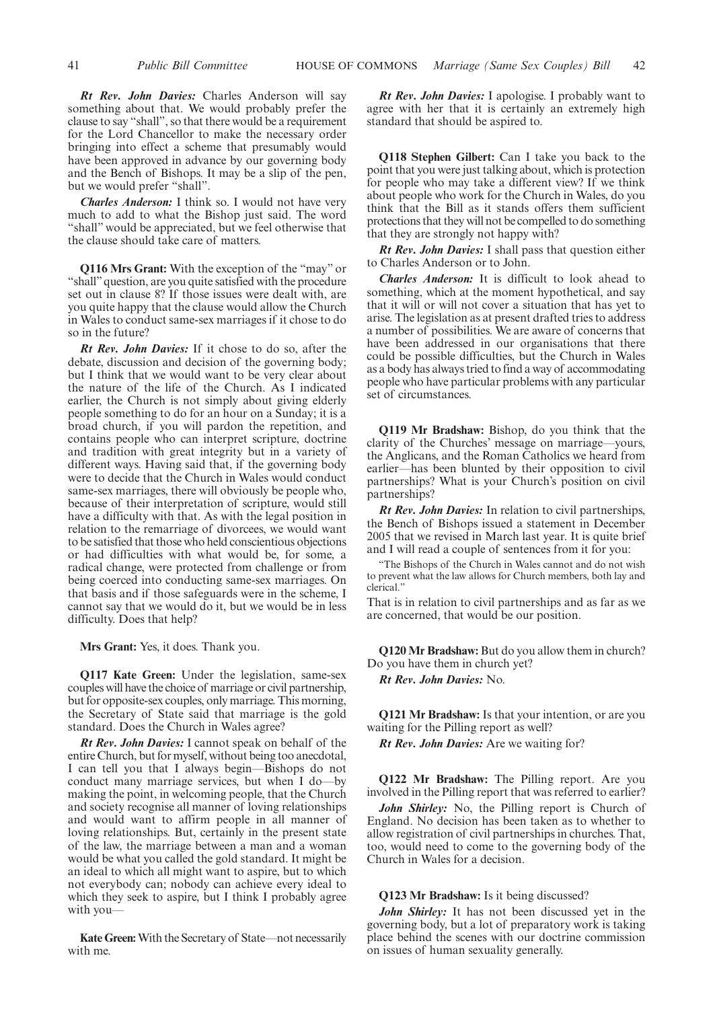*Rt Rev. John Davies:* Charles Anderson will say something about that. We would probably prefer the clause to say "shall", so that there would be a requirement for the Lord Chancellor to make the necessary order bringing into effect a scheme that presumably would have been approved in advance by our governing body and the Bench of Bishops. It may be a slip of the pen, but we would prefer "shall".

*Charles Anderson:* I think so. I would not have very much to add to what the Bishop just said. The word "shall" would be appreciated, but we feel otherwise that the clause should take care of matters.

**Q116 Mrs Grant:** With the exception of the "may" or "shall" question, are you quite satisfied with the procedure set out in clause 8? If those issues were dealt with, are you quite happy that the clause would allow the Church in Wales to conduct same-sex marriages if it chose to do so in the future?

*Rt Rev. John Davies:* If it chose to do so, after the debate, discussion and decision of the governing body; but I think that we would want to be very clear about the nature of the life of the Church. As I indicated earlier, the Church is not simply about giving elderly people something to do for an hour on a Sunday; it is a broad church, if you will pardon the repetition, and contains people who can interpret scripture, doctrine and tradition with great integrity but in a variety of different ways. Having said that, if the governing body were to decide that the Church in Wales would conduct same-sex marriages, there will obviously be people who, because of their interpretation of scripture, would still have a difficulty with that. As with the legal position in relation to the remarriage of divorcees, we would want to be satisfied that those who held conscientious objections or had difficulties with what would be, for some, a radical change, were protected from challenge or from being coerced into conducting same-sex marriages. On that basis and if those safeguards were in the scheme, I cannot say that we would do it, but we would be in less difficulty. Does that help?

**Mrs Grant:** Yes, it does. Thank you.

**Q117 Kate Green:** Under the legislation, same-sex couples will have the choice of marriage or civil partnership, but for opposite-sex couples, only marriage. This morning, the Secretary of State said that marriage is the gold standard. Does the Church in Wales agree?

*Rt Rev. John Davies:* I cannot speak on behalf of the entire Church, but for myself, without being too anecdotal, I can tell you that I always begin—Bishops do not conduct many marriage services, but when I do—by making the point, in welcoming people, that the Church and society recognise all manner of loving relationships and would want to affirm people in all manner of loving relationships. But, certainly in the present state of the law, the marriage between a man and a woman would be what you called the gold standard. It might be an ideal to which all might want to aspire, but to which not everybody can; nobody can achieve every ideal to which they seek to aspire, but I think I probably agree with you—

**Kate Green:**With the Secretary of State—not necessarily with me.

*Rt Rev. John Davies:* I apologise. I probably want to agree with her that it is certainly an extremely high standard that should be aspired to.

**Q118 Stephen Gilbert:** Can I take you back to the point that you were just talking about, which is protection for people who may take a different view? If we think about people who work for the Church in Wales, do you think that the Bill as it stands offers them sufficient protections that they will not be compelled to do something that they are strongly not happy with?

*Rt Rev. John Davies:* I shall pass that question either to Charles Anderson or to John.

*Charles Anderson:* It is difficult to look ahead to something, which at the moment hypothetical, and say that it will or will not cover a situation that has yet to arise. The legislation as at present drafted tries to address a number of possibilities. We are aware of concerns that have been addressed in our organisations that there could be possible difficulties, but the Church in Wales as a body has always tried to find a way of accommodating people who have particular problems with any particular set of circumstances.

**Q119 Mr Bradshaw:** Bishop, do you think that the clarity of the Churches' message on marriage—yours, the Anglicans, and the Roman Catholics we heard from earlier—has been blunted by their opposition to civil partnerships? What is your Church's position on civil partnerships?

*Rt Rev. John Davies:* In relation to civil partnerships, the Bench of Bishops issued a statement in December 2005 that we revised in March last year. It is quite brief and I will read a couple of sentences from it for you:

"The Bishops of the Church in Wales cannot and do not wish to prevent what the law allows for Church members, both lay and clerical."

That is in relation to civil partnerships and as far as we are concerned, that would be our position.

**Q120 Mr Bradshaw:** But do you allow them in church? Do you have them in church yet?

*Rt Rev. John Davies:* No.

**Q121 Mr Bradshaw:** Is that your intention, or are you waiting for the Pilling report as well?

*Rt Rev. John Davies:* Are we waiting for?

**Q122 Mr Bradshaw:** The Pilling report. Are you involved in the Pilling report that was referred to earlier?

*John Shirley:* No, the Pilling report is Church of England. No decision has been taken as to whether to allow registration of civil partnerships in churches. That, too, would need to come to the governing body of the Church in Wales for a decision.

#### **Q123 Mr Bradshaw:** Is it being discussed?

*John Shirley:* It has not been discussed yet in the governing body, but a lot of preparatory work is taking place behind the scenes with our doctrine commission on issues of human sexuality generally.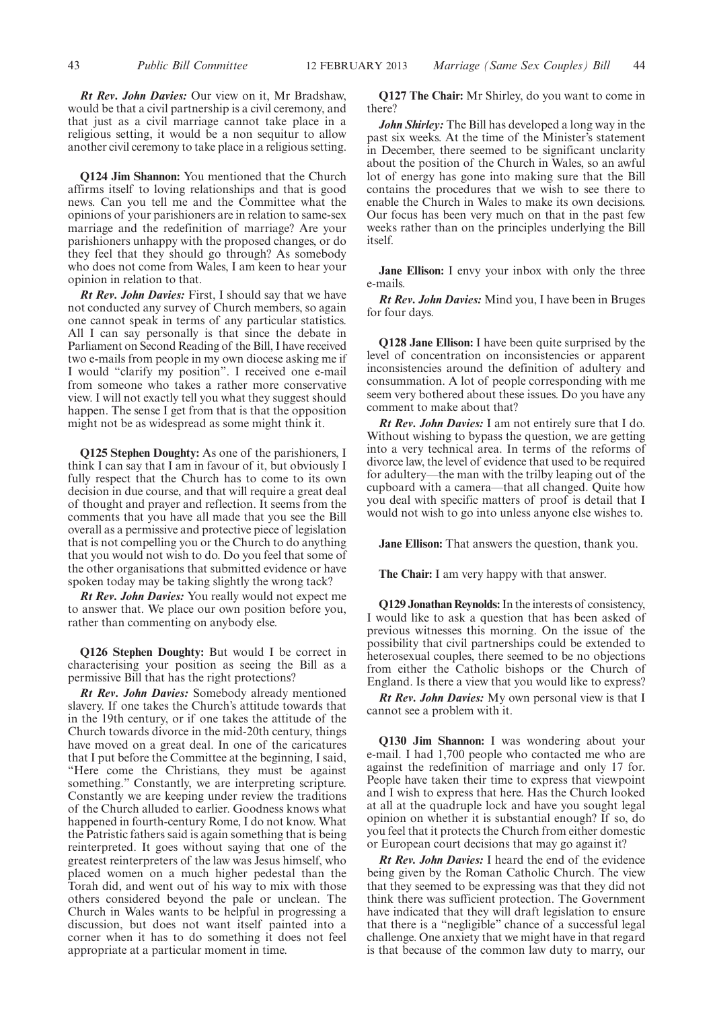*Rt Rev. John Davies:* Our view on it, Mr Bradshaw, would be that a civil partnership is a civil ceremony, and that just as a civil marriage cannot take place in a religious setting, it would be a non sequitur to allow another civil ceremony to take place in a religious setting.

**Q124 Jim Shannon:** You mentioned that the Church affirms itself to loving relationships and that is good news. Can you tell me and the Committee what the opinions of your parishioners are in relation to same-sex marriage and the redefinition of marriage? Are your parishioners unhappy with the proposed changes, or do they feel that they should go through? As somebody who does not come from Wales, I am keen to hear your opinion in relation to that.

*Rt Rev. John Davies:* First, I should say that we have not conducted any survey of Church members, so again one cannot speak in terms of any particular statistics. All I can say personally is that since the debate in Parliament on Second Reading of the Bill, I have received two e-mails from people in my own diocese asking me if I would "clarify my position". I received one e-mail from someone who takes a rather more conservative view. I will not exactly tell you what they suggest should happen. The sense I get from that is that the opposition might not be as widespread as some might think it.

**Q125 Stephen Doughty:** As one of the parishioners, I think I can say that I am in favour of it, but obviously I fully respect that the Church has to come to its own decision in due course, and that will require a great deal of thought and prayer and reflection. It seems from the comments that you have all made that you see the Bill overall as a permissive and protective piece of legislation that is not compelling you or the Church to do anything that you would not wish to do. Do you feel that some of the other organisations that submitted evidence or have spoken today may be taking slightly the wrong tack?

*Rt Rev. John Davies:* You really would not expect me to answer that. We place our own position before you, rather than commenting on anybody else.

**Q126 Stephen Doughty:** But would I be correct in characterising your position as seeing the Bill as a permissive Bill that has the right protections?

*Rt Rev. John Davies:* Somebody already mentioned slavery. If one takes the Church's attitude towards that in the 19th century, or if one takes the attitude of the Church towards divorce in the mid-20th century, things have moved on a great deal. In one of the caricatures that I put before the Committee at the beginning, I said, "Here come the Christians, they must be against something." Constantly, we are interpreting scripture. Constantly we are keeping under review the traditions of the Church alluded to earlier. Goodness knows what happened in fourth-century Rome, I do not know. What the Patristic fathers said is again something that is being reinterpreted. It goes without saying that one of the greatest reinterpreters of the law was Jesus himself, who placed women on a much higher pedestal than the Torah did, and went out of his way to mix with those others considered beyond the pale or unclean. The Church in Wales wants to be helpful in progressing a discussion, but does not want itself painted into a corner when it has to do something it does not feel appropriate at a particular moment in time.

**Q127 The Chair:** Mr Shirley, do you want to come in there?

*John Shirley:* The Bill has developed a long way in the past six weeks. At the time of the Minister's statement in December, there seemed to be significant unclarity about the position of the Church in Wales, so an awful lot of energy has gone into making sure that the Bill contains the procedures that we wish to see there to enable the Church in Wales to make its own decisions. Our focus has been very much on that in the past few weeks rather than on the principles underlying the Bill itself.

**Jane Ellison:** I envy your inbox with only the three e-mails.

*Rt Rev. John Davies:* Mind you, I have been in Bruges for four days.

**Q128 Jane Ellison:** I have been quite surprised by the level of concentration on inconsistencies or apparent inconsistencies around the definition of adultery and consummation. A lot of people corresponding with me seem very bothered about these issues. Do you have any comment to make about that?

*Rt Rev. John Davies:* I am not entirely sure that I do. Without wishing to bypass the question, we are getting into a very technical area. In terms of the reforms of divorce law, the level of evidence that used to be required for adultery—the man with the trilby leaping out of the cupboard with a camera—that all changed. Quite how you deal with specific matters of proof is detail that I would not wish to go into unless anyone else wishes to.

**Jane Ellison:** That answers the question, thank you.

**The Chair:** I am very happy with that answer.

**Q129 Jonathan Reynolds:**In the interests of consistency, I would like to ask a question that has been asked of previous witnesses this morning. On the issue of the possibility that civil partnerships could be extended to heterosexual couples, there seemed to be no objections from either the Catholic bishops or the Church of England. Is there a view that you would like to express?

*Rt Rev. John Davies:* My own personal view is that I cannot see a problem with it.

**Q130 Jim Shannon:** I was wondering about your e-mail. I had 1,700 people who contacted me who are against the redefinition of marriage and only 17 for. People have taken their time to express that viewpoint and I wish to express that here. Has the Church looked at all at the quadruple lock and have you sought legal opinion on whether it is substantial enough? If so, do you feel that it protects the Church from either domestic or European court decisions that may go against it?

*Rt Rev. John Davies:* I heard the end of the evidence being given by the Roman Catholic Church. The view that they seemed to be expressing was that they did not think there was sufficient protection. The Government have indicated that they will draft legislation to ensure that there is a "negligible" chance of a successful legal challenge. One anxiety that we might have in that regard is that because of the common law duty to marry, our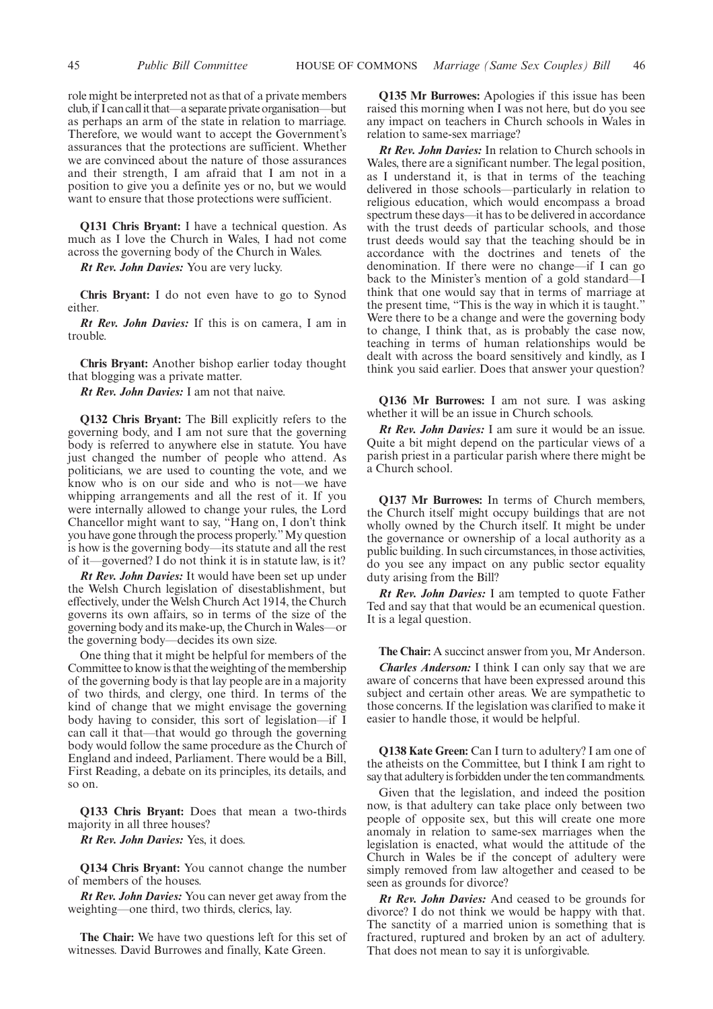role might be interpreted not as that of a private members club,if I can callit that—a separate private organisation—but as perhaps an arm of the state in relation to marriage. Therefore, we would want to accept the Government's assurances that the protections are sufficient. Whether we are convinced about the nature of those assurances and their strength, I am afraid that I am not in a position to give you a definite yes or no, but we would want to ensure that those protections were sufficient.

**Q131 Chris Bryant:** I have a technical question. As much as I love the Church in Wales, I had not come across the governing body of the Church in Wales.

*Rt Rev. John Davies:* You are very lucky.

**Chris Bryant:** I do not even have to go to Synod either.

*Rt Rev. John Davies:* If this is on camera, I am in trouble.

**Chris Bryant:** Another bishop earlier today thought that blogging was a private matter.

*Rt Rev. John Davies:* I am not that naive.

**Q132 Chris Bryant:** The Bill explicitly refers to the governing body, and I am not sure that the governing body is referred to anywhere else in statute. You have just changed the number of people who attend. As politicians, we are used to counting the vote, and we know who is on our side and who is not—we have whipping arrangements and all the rest of it. If you were internally allowed to change your rules, the Lord Chancellor might want to say, "Hang on, I don't think you have gone through the process properly."My question is how is the governing body—its statute and all the rest of it—governed? I do not think it is in statute law, is it?

*Rt Rev. John Davies:* It would have been set up under the Welsh Church legislation of disestablishment, but effectively, under the Welsh Church Act 1914, the Church governs its own affairs, so in terms of the size of the governing body and its make-up, the Church inWales—or the governing body—decides its own size.

One thing that it might be helpful for members of the Committee to know is that the weighting of themembership of the governing body is that lay people are in a majority of two thirds, and clergy, one third. In terms of the kind of change that we might envisage the governing body having to consider, this sort of legislation—if I can call it that—that would go through the governing body would follow the same procedure as the Church of England and indeed, Parliament. There would be a Bill, First Reading, a debate on its principles, its details, and so on.

**Q133 Chris Bryant:** Does that mean a two-thirds majority in all three houses?

*Rt Rev. John Davies:* Yes, it does.

**Q134 Chris Bryant:** You cannot change the number of members of the houses.

*Rt Rev. John Davies:* You can never get away from the weighting—one third, two thirds, clerics, lay.

**The Chair:** We have two questions left for this set of witnesses. David Burrowes and finally, Kate Green.

**Q135 Mr Burrowes:** Apologies if this issue has been raised this morning when I was not here, but do you see any impact on teachers in Church schools in Wales in relation to same-sex marriage?

*Rt Rev. John Davies:* In relation to Church schools in Wales, there are a significant number. The legal position, as I understand it, is that in terms of the teaching delivered in those schools—particularly in relation to religious education, which would encompass a broad spectrum these days—it has to be delivered in accordance with the trust deeds of particular schools, and those trust deeds would say that the teaching should be in accordance with the doctrines and tenets of the denomination. If there were no change—if I can go back to the Minister's mention of a gold standard—I think that one would say that in terms of marriage at the present time, "This is the way in which it is taught." Were there to be a change and were the governing body to change, I think that, as is probably the case now, teaching in terms of human relationships would be dealt with across the board sensitively and kindly, as I think you said earlier. Does that answer your question?

**Q136 Mr Burrowes:** I am not sure. I was asking whether it will be an issue in Church schools.

*Rt Rev. John Davies:* I am sure it would be an issue. Quite a bit might depend on the particular views of a parish priest in a particular parish where there might be a Church school.

**Q137 Mr Burrowes:** In terms of Church members, the Church itself might occupy buildings that are not wholly owned by the Church itself. It might be under the governance or ownership of a local authority as a public building. In such circumstances, in those activities, do you see any impact on any public sector equality duty arising from the Bill?

*Rt Rev. John Davies:* I am tempted to quote Father Ted and say that that would be an ecumenical question. It is a legal question.

**The Chair:** A succinct answer from you, Mr Anderson.

*Charles Anderson:* I think I can only say that we are aware of concerns that have been expressed around this subject and certain other areas. We are sympathetic to those concerns. If the legislation was clarified to make it easier to handle those, it would be helpful.

**Q138 Kate Green:** Can I turn to adultery? I am one of the atheists on the Committee, but I think I am right to say that adultery is forbidden under the ten commandments.

Given that the legislation, and indeed the position now, is that adultery can take place only between two people of opposite sex, but this will create one more anomaly in relation to same-sex marriages when the legislation is enacted, what would the attitude of the Church in Wales be if the concept of adultery were simply removed from law altogether and ceased to be seen as grounds for divorce?

*Rt Rev. John Davies:* And ceased to be grounds for divorce? I do not think we would be happy with that. The sanctity of a married union is something that is fractured, ruptured and broken by an act of adultery. That does not mean to say it is unforgivable.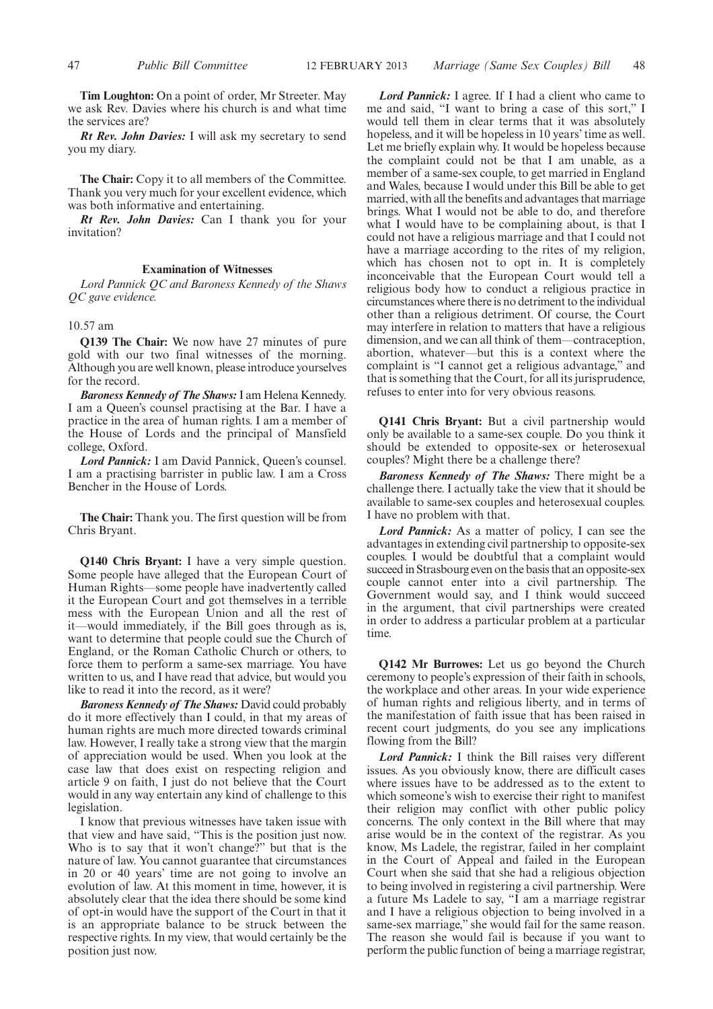**Tim Loughton:** On a point of order, Mr Streeter. May we ask Rev. Davies where his church is and what time the services are?

*Rt Rev. John Davies:* I will ask my secretary to send you my diary.

**The Chair:** Copy it to all members of the Committee. Thank you very much for your excellent evidence, which was both informative and entertaining.

*Rt Rev. John Davies:* Can I thank you for your invitation?

#### **Examination of Witnesses**

*Lord Pannick QC and Baroness Kennedy of the Shaws QC gave evidence.*

#### 10.57 am

**Q139 The Chair:** We now have 27 minutes of pure gold with our two final witnesses of the morning. Although you are well known, please introduce yourselves for the record.

*Baroness Kennedy of The Shaws:*I am Helena Kennedy. I am a Queen's counsel practising at the Bar. I have a practice in the area of human rights. I am a member of the House of Lords and the principal of Mansfield college, Oxford.

*Lord Pannick:* I am David Pannick, Queen's counsel. I am a practising barrister in public law. I am a Cross Bencher in the House of Lords.

**The Chair:** Thank you. The first question will be from Chris Bryant.

**Q140 Chris Bryant:** I have a very simple question. Some people have alleged that the European Court of Human Rights—some people have inadvertently called it the European Court and got themselves in a terrible mess with the European Union and all the rest of it—would immediately, if the Bill goes through as is, want to determine that people could sue the Church of England, or the Roman Catholic Church or others, to force them to perform a same-sex marriage. You have written to us, and I have read that advice, but would you like to read it into the record, as it were?

*Baroness Kennedy of The Shaws:* David could probably do it more effectively than I could, in that my areas of human rights are much more directed towards criminal law. However, I really take a strong view that the margin of appreciation would be used. When you look at the case law that does exist on respecting religion and article 9 on faith, I just do not believe that the Court would in any way entertain any kind of challenge to this legislation.

I know that previous witnesses have taken issue with that view and have said, "This is the position just now. Who is to say that it won't change?" but that is the nature of law. You cannot guarantee that circumstances in 20 or 40 years' time are not going to involve an evolution of law. At this moment in time, however, it is absolutely clear that the idea there should be some kind of opt-in would have the support of the Court in that it is an appropriate balance to be struck between the respective rights. In my view, that would certainly be the position just now.

*Lord Pannick:* I agree. If I had a client who came to me and said, "I want to bring a case of this sort," I would tell them in clear terms that it was absolutely hopeless, and it will be hopeless in 10 years' time as well. Let me briefly explain why. It would be hopeless because the complaint could not be that I am unable, as a member of a same-sex couple, to get married in England and Wales, because I would under this Bill be able to get married, with all the benefits and advantages that marriage brings. What I would not be able to do, and therefore what I would have to be complaining about, is that I could not have a religious marriage and that I could not have a marriage according to the rites of my religion, which has chosen not to opt in. It is completely inconceivable that the European Court would tell a religious body how to conduct a religious practice in circumstances where there is no detriment to the individual other than a religious detriment. Of course, the Court may interfere in relation to matters that have a religious dimension, and we can all think of them—contraception, abortion, whatever—but this is a context where the complaint is "I cannot get a religious advantage," and that is something that the Court, for all its jurisprudence, refuses to enter into for very obvious reasons.

**Q141 Chris Bryant:** But a civil partnership would only be available to a same-sex couple. Do you think it should be extended to opposite-sex or heterosexual couples? Might there be a challenge there?

*Baroness Kennedy of The Shaws:* There might be a challenge there. I actually take the view that it should be available to same-sex couples and heterosexual couples. I have no problem with that.

*Lord Pannick:* As a matter of policy, I can see the advantages in extending civil partnership to opposite-sex couples. I would be doubtful that a complaint would succeed in Strasbourg even on the basis that an opposite-sex couple cannot enter into a civil partnership. The Government would say, and I think would succeed in the argument, that civil partnerships were created in order to address a particular problem at a particular time.

**Q142 Mr Burrowes:** Let us go beyond the Church ceremony to people's expression of their faith in schools, the workplace and other areas. In your wide experience of human rights and religious liberty, and in terms of the manifestation of faith issue that has been raised in recent court judgments, do you see any implications flowing from the Bill?

*Lord Pannick:* I think the Bill raises very different issues. As you obviously know, there are difficult cases where issues have to be addressed as to the extent to which someone's wish to exercise their right to manifest their religion may conflict with other public policy concerns. The only context in the Bill where that may arise would be in the context of the registrar. As you know, Ms Ladele, the registrar, failed in her complaint in the Court of Appeal and failed in the European Court when she said that she had a religious objection to being involved in registering a civil partnership. Were a future Ms Ladele to say, "I am a marriage registrar and I have a religious objection to being involved in a same-sex marriage," she would fail for the same reason. The reason she would fail is because if you want to perform the public function of being a marriage registrar,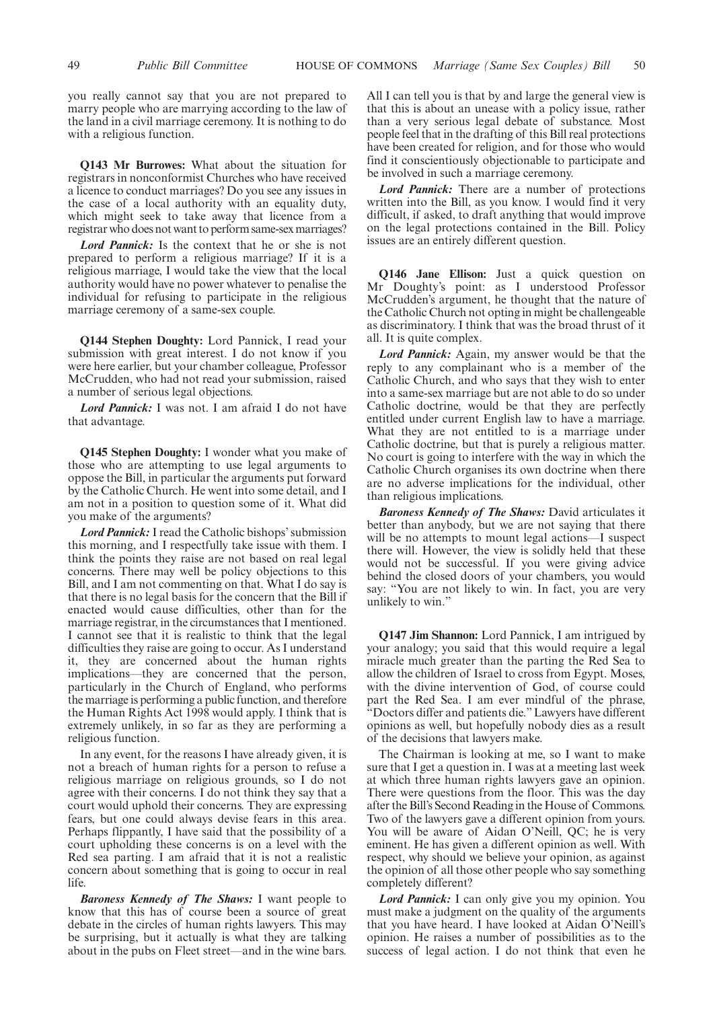you really cannot say that you are not prepared to marry people who are marrying according to the law of the land in a civil marriage ceremony. It is nothing to do with a religious function.

**Q143 Mr Burrowes:** What about the situation for registrars in nonconformist Churches who have received a licence to conduct marriages? Do you see any issues in the case of a local authority with an equality duty, which might seek to take away that licence from a registrar who does not want to perform same-sex marriages?

*Lord Pannick:* Is the context that he or she is not prepared to perform a religious marriage? If it is a religious marriage, I would take the view that the local authority would have no power whatever to penalise the individual for refusing to participate in the religious marriage ceremony of a same-sex couple.

**Q144 Stephen Doughty:** Lord Pannick, I read your submission with great interest. I do not know if you were here earlier, but your chamber colleague, Professor McCrudden, who had not read your submission, raised a number of serious legal objections.

*Lord Pannick:* I was not. I am afraid I do not have that advantage.

**Q145 Stephen Doughty:** I wonder what you make of those who are attempting to use legal arguments to oppose the Bill, in particular the arguments put forward by the Catholic Church. He went into some detail, and I am not in a position to question some of it. What did you make of the arguments?

*Lord Pannick:*I read the Catholic bishops' submission this morning, and I respectfully take issue with them. I think the points they raise are not based on real legal concerns. There may well be policy objections to this Bill, and I am not commenting on that. What I do say is that there is no legal basis for the concern that the Bill if enacted would cause difficulties, other than for the marriage registrar, in the circumstances that I mentioned. I cannot see that it is realistic to think that the legal difficulties they raise are going to occur. As I understand it, they are concerned about the human rights implications—they are concerned that the person, particularly in the Church of England, who performs the marriage is performing a public function, and therefore the Human Rights Act 1998 would apply. I think that is extremely unlikely, in so far as they are performing a religious function.

In any event, for the reasons I have already given, it is not a breach of human rights for a person to refuse a religious marriage on religious grounds, so I do not agree with their concerns. I do not think they say that a court would uphold their concerns. They are expressing fears, but one could always devise fears in this area. Perhaps flippantly, I have said that the possibility of a court upholding these concerns is on a level with the Red sea parting. I am afraid that it is not a realistic concern about something that is going to occur in real life.

*Baroness Kennedy of The Shaws:* I want people to know that this has of course been a source of great debate in the circles of human rights lawyers. This may be surprising, but it actually is what they are talking about in the pubs on Fleet street—and in the wine bars.

All I can tell you is that by and large the general view is that this is about an unease with a policy issue, rather than a very serious legal debate of substance. Most people feel that in the drafting of this Bill real protections have been created for religion, and for those who would find it conscientiously objectionable to participate and be involved in such a marriage ceremony.

*Lord Pannick:* There are a number of protections written into the Bill, as you know. I would find it very difficult, if asked, to draft anything that would improve on the legal protections contained in the Bill. Policy issues are an entirely different question.

**Q146 Jane Ellison:** Just a quick question on Mr Doughty's point: as I understood Professor McCrudden's argument, he thought that the nature of the Catholic Church not opting in might be challengeable as discriminatory. I think that was the broad thrust of it all. It is quite complex.

*Lord Pannick:* Again, my answer would be that the reply to any complainant who is a member of the Catholic Church, and who says that they wish to enter into a same-sex marriage but are not able to do so under Catholic doctrine, would be that they are perfectly entitled under current English law to have a marriage. What they are not entitled to is a marriage under Catholic doctrine, but that is purely a religious matter. No court is going to interfere with the way in which the Catholic Church organises its own doctrine when there are no adverse implications for the individual, other than religious implications.

*Baroness Kennedy of The Shaws:* David articulates it better than anybody, but we are not saying that there will be no attempts to mount legal actions—I suspect there will. However, the view is solidly held that these would not be successful. If you were giving advice behind the closed doors of your chambers, you would say: "You are not likely to win. In fact, you are very unlikely to win."

**Q147 Jim Shannon:** Lord Pannick, I am intrigued by your analogy; you said that this would require a legal miracle much greater than the parting the Red Sea to allow the children of Israel to cross from Egypt. Moses, with the divine intervention of God, of course could part the Red Sea. I am ever mindful of the phrase, "Doctors differ and patients die." Lawyers have different opinions as well, but hopefully nobody dies as a result of the decisions that lawyers make.

The Chairman is looking at me, so I want to make sure that I get a question in. I was at a meeting last week at which three human rights lawyers gave an opinion. There were questions from the floor. This was the day after the Bill's Second Reading in the House of Commons. Two of the lawyers gave a different opinion from yours. You will be aware of Aidan O'Neill, QC; he is very eminent. He has given a different opinion as well. With respect, why should we believe your opinion, as against the opinion of all those other people who say something completely different?

*Lord Pannick:* I can only give you my opinion. You must make a judgment on the quality of the arguments that you have heard. I have looked at Aidan O'Neill's opinion. He raises a number of possibilities as to the success of legal action. I do not think that even he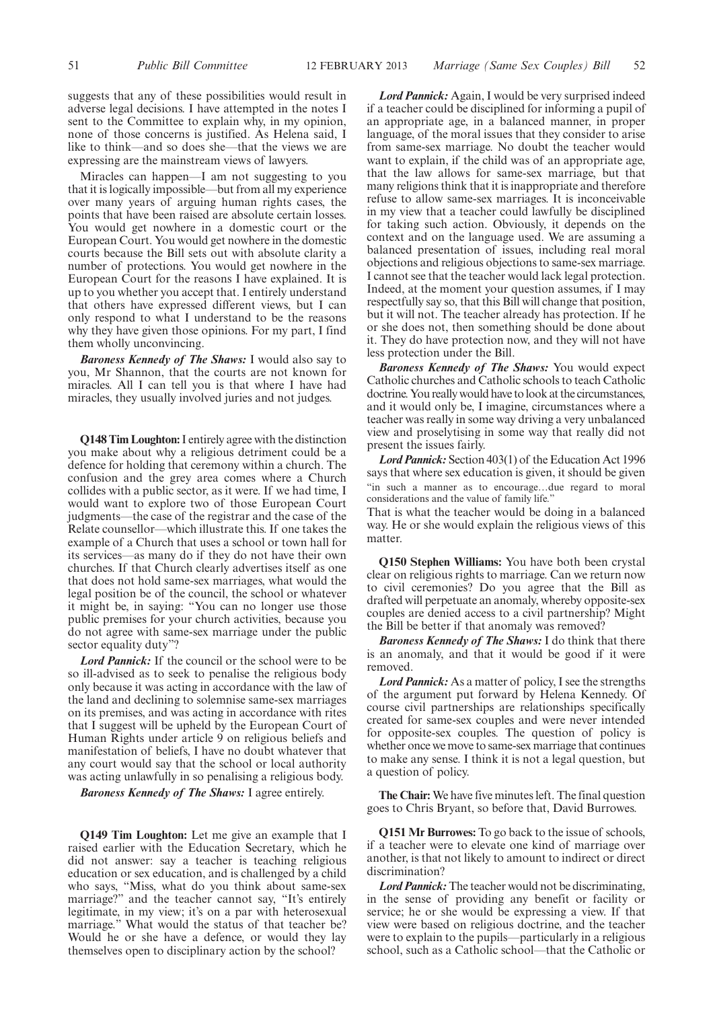suggests that any of these possibilities would result in adverse legal decisions. I have attempted in the notes I sent to the Committee to explain why, in my opinion, none of those concerns is justified. As Helena said, I like to think—and so does she—that the views we are expressing are the mainstream views of lawyers.

Miracles can happen—I am not suggesting to you that it is logically impossible—but from all my experience over many years of arguing human rights cases, the points that have been raised are absolute certain losses. You would get nowhere in a domestic court or the European Court. You would get nowhere in the domestic courts because the Bill sets out with absolute clarity a number of protections. You would get nowhere in the European Court for the reasons I have explained. It is up to you whether you accept that. I entirely understand that others have expressed different views, but I can only respond to what I understand to be the reasons why they have given those opinions. For my part, I find them wholly unconvincing.

*Baroness Kennedy of The Shaws:* I would also say to you, Mr Shannon, that the courts are not known for miracles. All I can tell you is that where I have had miracles, they usually involved juries and not judges.

**Q148 Tim Loughton:**I entirely agree with the distinction you make about why a religious detriment could be a defence for holding that ceremony within a church. The confusion and the grey area comes where a Church collides with a public sector, as it were. If we had time, I would want to explore two of those European Court judgments—the case of the registrar and the case of the Relate counsellor—which illustrate this. If one takes the example of a Church that uses a school or town hall for its services—as many do if they do not have their own churches. If that Church clearly advertises itself as one that does not hold same-sex marriages, what would the legal position be of the council, the school or whatever it might be, in saying: "You can no longer use those public premises for your church activities, because you do not agree with same-sex marriage under the public sector equality duty"?

*Lord Pannick:* If the council or the school were to be so ill-advised as to seek to penalise the religious body only because it was acting in accordance with the law of the land and declining to solemnise same-sex marriages on its premises, and was acting in accordance with rites that I suggest will be upheld by the European Court of Human Rights under article 9 on religious beliefs and manifestation of beliefs, I have no doubt whatever that any court would say that the school or local authority was acting unlawfully in so penalising a religious body.

*Baroness Kennedy of The Shaws:* I agree entirely.

**Q149 Tim Loughton:** Let me give an example that I raised earlier with the Education Secretary, which he did not answer: say a teacher is teaching religious education or sex education, and is challenged by a child who says, "Miss, what do you think about same-sex marriage?" and the teacher cannot say, "It's entirely legitimate, in my view; it's on a par with heterosexual marriage." What would the status of that teacher be? Would he or she have a defence, or would they lay themselves open to disciplinary action by the school?

*Lord Pannick:* Again, I would be very surprised indeed if a teacher could be disciplined for informing a pupil of an appropriate age, in a balanced manner, in proper language, of the moral issues that they consider to arise from same-sex marriage. No doubt the teacher would want to explain, if the child was of an appropriate age, that the law allows for same-sex marriage, but that many religions think that it is inappropriate and therefore refuse to allow same-sex marriages. It is inconceivable in my view that a teacher could lawfully be disciplined for taking such action. Obviously, it depends on the context and on the language used. We are assuming a balanced presentation of issues, including real moral objections and religious objections to same-sex marriage. I cannot see that the teacher would lack legal protection. Indeed, at the moment your question assumes, if I may respectfully say so, that this Bill will change that position, but it will not. The teacher already has protection. If he or she does not, then something should be done about it. They do have protection now, and they will not have less protection under the Bill.

*Baroness Kennedy of The Shaws:* You would expect Catholic churches and Catholic schools to teach Catholic doctrine. You really would have to look at the circumstances, and it would only be, I imagine, circumstances where a teacher was really in some way driving a very unbalanced view and proselytising in some way that really did not present the issues fairly.

*Lord Pannick:* Section 403(1) of the Education Act 1996 says that where sex education is given, it should be given "in such a manner as to encourage…due regard to moral considerations and the value of family life."

That is what the teacher would be doing in a balanced way. He or she would explain the religious views of this matter.

**Q150 Stephen Williams:** You have both been crystal clear on religious rights to marriage. Can we return now to civil ceremonies? Do you agree that the Bill as drafted will perpetuate an anomaly, whereby opposite-sex couples are denied access to a civil partnership? Might the Bill be better if that anomaly was removed?

*Baroness Kennedy of The Shaws:* I do think that there is an anomaly, and that it would be good if it were removed.

*Lord Pannick:* As a matter of policy, I see the strengths of the argument put forward by Helena Kennedy. Of course civil partnerships are relationships specifically created for same-sex couples and were never intended for opposite-sex couples. The question of policy is whether once we move to same-sex marriage that continues to make any sense. I think it is not a legal question, but a question of policy.

**The Chair:** We have five minutes left. The final question goes to Chris Bryant, so before that, David Burrowes.

**Q151 Mr Burrowes:** To go back to the issue of schools, if a teacher were to elevate one kind of marriage over another, is that not likely to amount to indirect or direct discrimination?

*Lord Pannick:*The teacher would not be discriminating, in the sense of providing any benefit or facility or service; he or she would be expressing a view. If that view were based on religious doctrine, and the teacher were to explain to the pupils—particularly in a religious school, such as a Catholic school—that the Catholic or